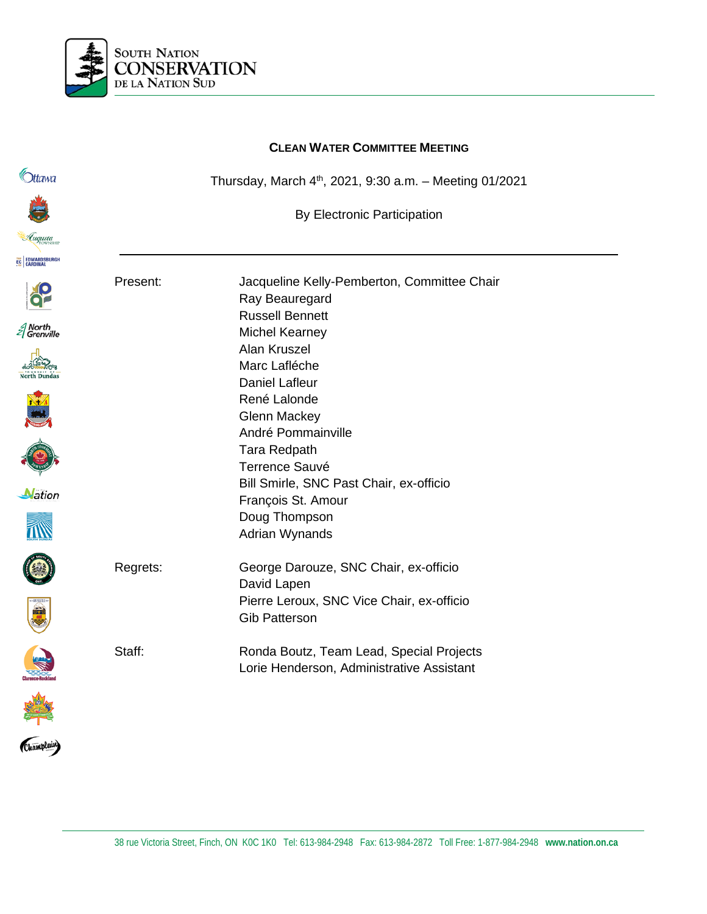

#### **CLEAN WATER COMMITTEE MEETING**

Thursday, March  $4<sup>th</sup>$ , 2021, 9:30 a.m. - Meeting 01/2021

By Electronic Participation



*<u>Ottawa</u>* 





















Present: Jacqueline Kelly-Pemberton, Committee Chair Ray Beauregard Russell Bennett Michel Kearney Alan Kruszel Marc Lafléche Daniel Lafleur René Lalonde Glenn Mackey André Pommainville Tara Redpath Terrence Sauvé Bill Smirle, SNC Past Chair, ex-officio François St. Amour Doug Thompson Adrian Wynands Regrets: George Darouze, SNC Chair, ex-officio David Lapen Pierre Leroux, SNC Vice Chair, ex-officio Gib Patterson Staff: Ronda Boutz, Team Lead, Special Projects Lorie Henderson, Administrative Assistant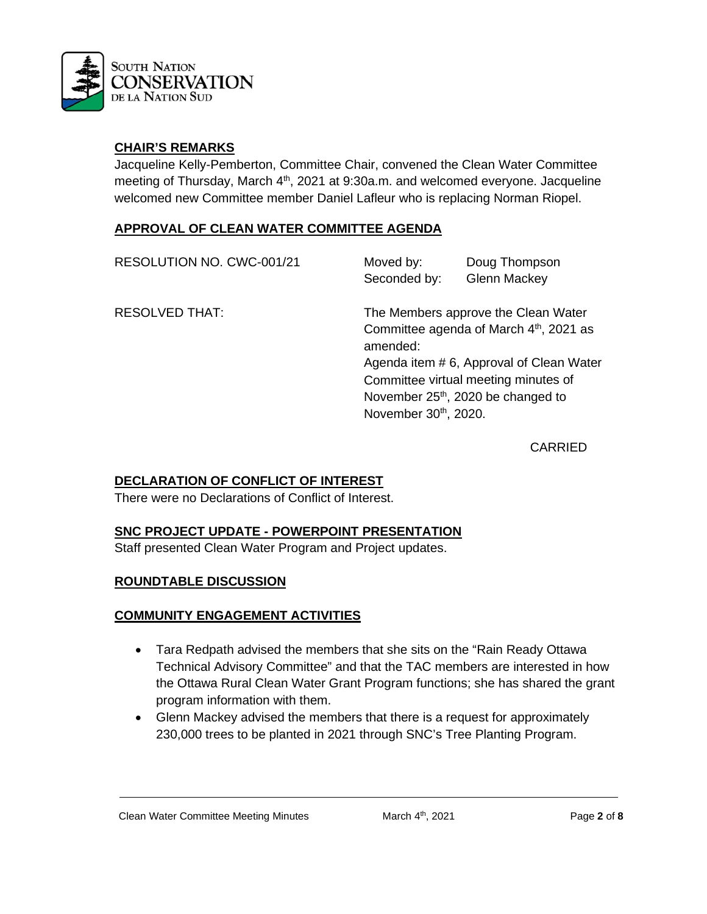

## **CHAIR'S REMARKS**

Jacqueline Kelly-Pemberton, Committee Chair, convened the Clean Water Committee meeting of Thursday, March 4<sup>th</sup>, 2021 at 9:30a.m. and welcomed everyone. Jacqueline welcomed new Committee member Daniel Lafleur who is replacing Norman Riopel.

## **APPROVAL OF CLEAN WATER COMMITTEE AGENDA**

| RESOLUTION NO. CWC-001/21 | Moved by:<br>Seconded by:        | Doug Thompson<br><b>Glenn Mackey</b>                                                                                                                                                                               |
|---------------------------|----------------------------------|--------------------------------------------------------------------------------------------------------------------------------------------------------------------------------------------------------------------|
| <b>RESOLVED THAT:</b>     | amended:<br>November 30th, 2020. | The Members approve the Clean Water<br>Committee agenda of March 4th, 2021 as<br>Agenda item #6, Approval of Clean Water<br>Committee virtual meeting minutes of<br>November 25 <sup>th</sup> , 2020 be changed to |

CARRIED

## **DECLARATION OF CONFLICT OF INTEREST**

There were no Declarations of Conflict of Interest.

### **SNC PROJECT UPDATE - POWERPOINT PRESENTATION**

Staff presented Clean Water Program and Project updates.

### **ROUNDTABLE DISCUSSION**

### **COMMUNITY ENGAGEMENT ACTIVITIES**

- Tara Redpath advised the members that she sits on the "Rain Ready Ottawa" Technical Advisory Committee" and that the TAC members are interested in how the Ottawa Rural Clean Water Grant Program functions; she has shared the grant program information with them.
- Glenn Mackey advised the members that there is a request for approximately 230,000 trees to be planted in 2021 through SNC's Tree Planting Program.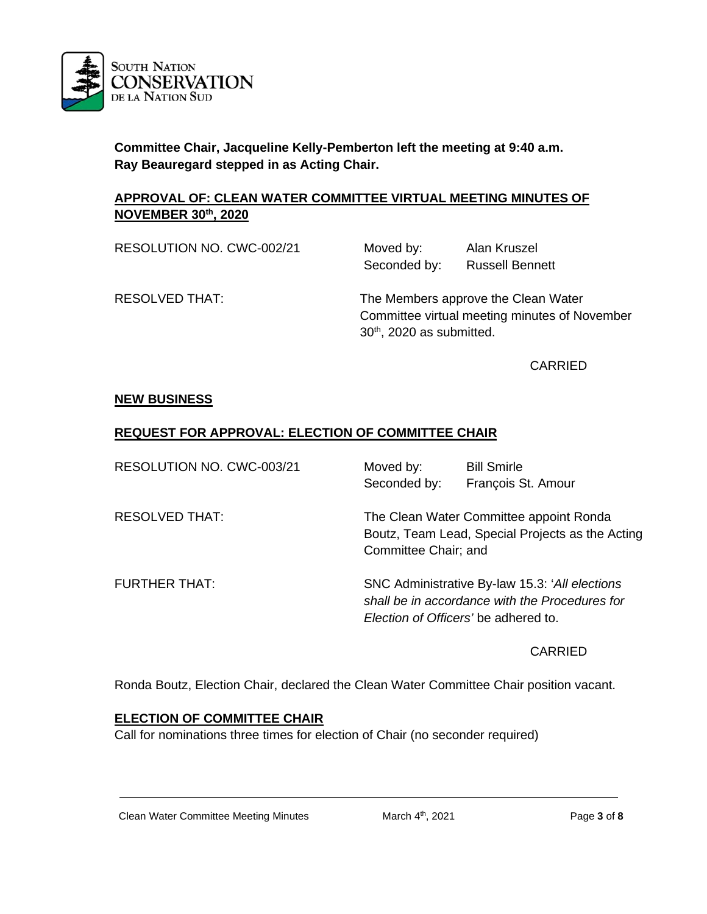

**Committee Chair, Jacqueline Kelly-Pemberton left the meeting at 9:40 a.m. Ray Beauregard stepped in as Acting Chair.** 

## **APPROVAL OF: CLEAN WATER COMMITTEE VIRTUAL MEETING MINUTES OF NOVEMBER 30th, 2020**

| RESOLUTION NO. CWC-002/21 | Moved by:<br>Seconded by:             | Alan Kruszel<br><b>Russell Bennett</b>                                               |
|---------------------------|---------------------------------------|--------------------------------------------------------------------------------------|
| <b>RESOLVED THAT:</b>     | 30 <sup>th</sup> , 2020 as submitted. | The Members approve the Clean Water<br>Committee virtual meeting minutes of November |

CARRIED

## **NEW BUSINESS**

## **REQUEST FOR APPROVAL: ELECTION OF COMMITTEE CHAIR**

| RESOLUTION NO. CWC-003/21 | Moved by:<br>Seconded by: | <b>Bill Smirle</b><br>François St. Amour                                                                                                  |
|---------------------------|---------------------------|-------------------------------------------------------------------------------------------------------------------------------------------|
| <b>RESOLVED THAT:</b>     | Committee Chair; and      | The Clean Water Committee appoint Ronda<br>Boutz, Team Lead, Special Projects as the Acting                                               |
| <b>FURTHER THAT:</b>      |                           | SNC Administrative By-law 15.3: 'All elections'<br>shall be in accordance with the Procedures for<br>Election of Officers' be adhered to. |

### CARRIED

Ronda Boutz, Election Chair, declared the Clean Water Committee Chair position vacant.

# **ELECTION OF COMMITTEE CHAIR**

Call for nominations three times for election of Chair (no seconder required)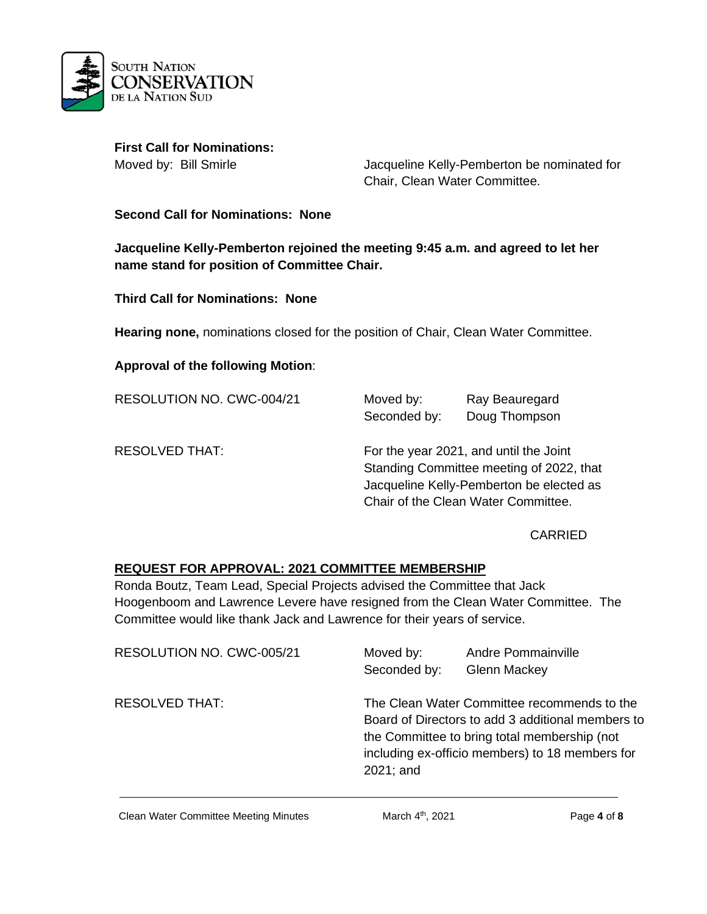

**First Call for Nominations:** 

Moved by: Bill Smirle **Moved by:** Bill Smirle **Jacqueline Kelly-Pemberton be nominated for** Chair, Clean Water Committee.

### **Second Call for Nominations: None**

**Jacqueline Kelly-Pemberton rejoined the meeting 9:45 a.m. and agreed to let her name stand for position of Committee Chair.** 

**Third Call for Nominations: None**

**Hearing none,** nominations closed for the position of Chair, Clean Water Committee.

#### **Approval of the following Motion**:

| RESOLUTION NO. CWC-004/21 | Moved by:<br>Seconded by: | Ray Beauregard<br>Doug Thompson                                                                                                                                       |
|---------------------------|---------------------------|-----------------------------------------------------------------------------------------------------------------------------------------------------------------------|
| <b>RESOLVED THAT:</b>     |                           | For the year 2021, and until the Joint<br>Standing Committee meeting of 2022, that<br>Jacqueline Kelly-Pemberton be elected as<br>Chair of the Clean Water Committee. |

#### CARRIED

### **REQUEST FOR APPROVAL: 2021 COMMITTEE MEMBERSHIP**

Ronda Boutz, Team Lead, Special Projects advised the Committee that Jack Hoogenboom and Lawrence Levere have resigned from the Clean Water Committee. The Committee would like thank Jack and Lawrence for their years of service.

| RESOLUTION NO. CWC-005/21 | Moved by:<br>Seconded by: | Andre Pommainville<br><b>Glenn Mackey</b>                                                                                                                                                           |
|---------------------------|---------------------------|-----------------------------------------------------------------------------------------------------------------------------------------------------------------------------------------------------|
| RESOLVED THAT:            | 2021; and                 | The Clean Water Committee recommends to the<br>Board of Directors to add 3 additional members to<br>the Committee to bring total membership (not<br>including ex-officio members) to 18 members for |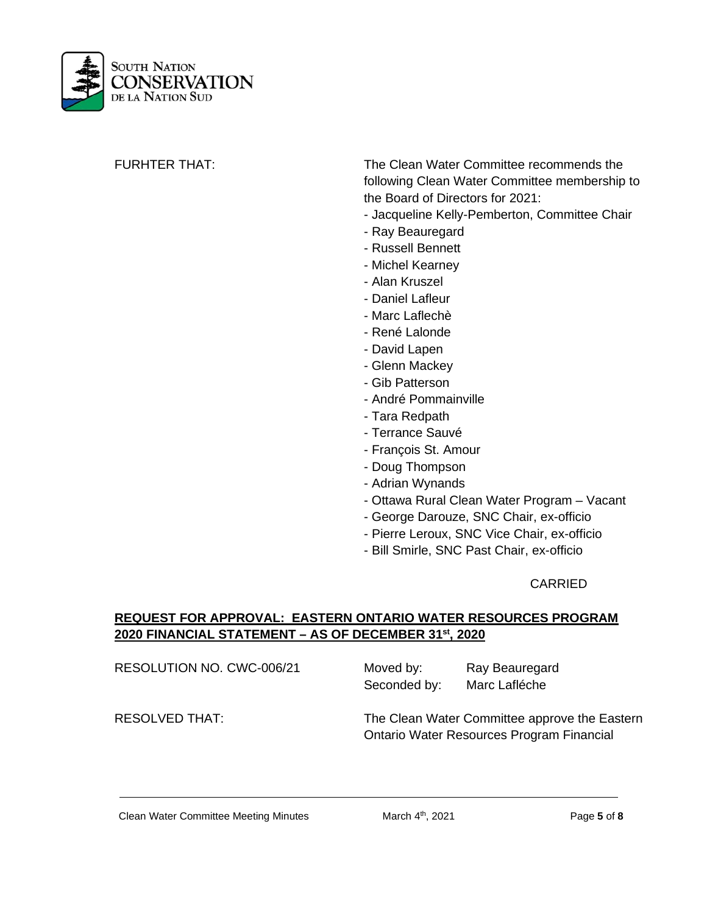

FURHTER THAT: The Clean Water Committee recommends the following Clean Water Committee membership to the Board of Directors for 2021:

- Jacqueline Kelly-Pemberton, Committee Chair
- Ray Beauregard
- Russell Bennett
- Michel Kearney
- Alan Kruszel
- Daniel Lafleur
- Marc Laflechè
- René Lalonde
- David Lapen
- Glenn Mackey
- Gib Patterson
- André Pommainville
- Tara Redpath
- Terrance Sauvé
- François St. Amour
- Doug Thompson
- Adrian Wynands
- Ottawa Rural Clean Water Program Vacant
- George Darouze, SNC Chair, ex-officio
- Pierre Leroux, SNC Vice Chair, ex-officio
- Bill Smirle, SNC Past Chair, ex-officio

### CARRIED

## **REQUEST FOR APPROVAL: EASTERN ONTARIO WATER RESOURCES PROGRAM 2020 FINANCIAL STATEMENT – AS OF DECEMBER 31st, 2020**

| RESOLUTION NO. CWC-006/21 | Moved by:    | Ray Beauregard |  |
|---------------------------|--------------|----------------|--|
|                           | Seconded by: | Marc Lafléche  |  |

RESOLVED THAT: The Clean Water Committee approve the Eastern Ontario Water Resources Program Financial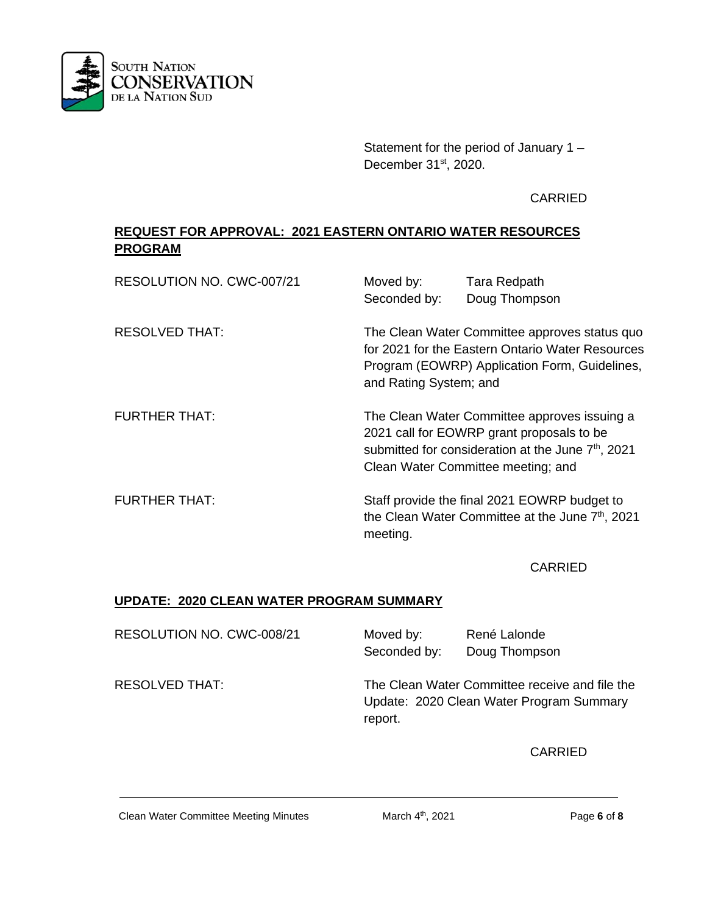

Statement for the period of January 1 – December 31<sup>st</sup>, 2020.

CARRIED

# **REQUEST FOR APPROVAL: 2021 EASTERN ONTARIO WATER RESOURCES PROGRAM**

| RESOLUTION NO. CWC-007/21 | Moved by:<br>Seconded by: | Tara Redpath<br>Doug Thompson                                                                                                                                                                     |
|---------------------------|---------------------------|---------------------------------------------------------------------------------------------------------------------------------------------------------------------------------------------------|
| <b>RESOLVED THAT:</b>     | and Rating System; and    | The Clean Water Committee approves status quo<br>for 2021 for the Eastern Ontario Water Resources<br>Program (EOWRP) Application Form, Guidelines,                                                |
| <b>FURTHER THAT:</b>      |                           | The Clean Water Committee approves issuing a<br>2021 call for EOWRP grant proposals to be<br>submitted for consideration at the June 7 <sup>th</sup> , 2021<br>Clean Water Committee meeting; and |
| <b>FURTHER THAT:</b>      | meeting.                  | Staff provide the final 2021 EOWRP budget to<br>the Clean Water Committee at the June 7 <sup>th</sup> , 2021                                                                                      |

CARRIED

# **UPDATE: 2020 CLEAN WATER PROGRAM SUMMARY**

| RESOLUTION NO. CWC-008/21 | Moved by:<br>Seconded by: | René Lalonde<br>Doug Thompson                                                              |
|---------------------------|---------------------------|--------------------------------------------------------------------------------------------|
| <b>RESOLVED THAT:</b>     | report.                   | The Clean Water Committee receive and file the<br>Update: 2020 Clean Water Program Summary |

**CARRIED** 

Clean Water Committee Meeting Minutes March 4<sup>th</sup>, 2021 **Page 6** of 8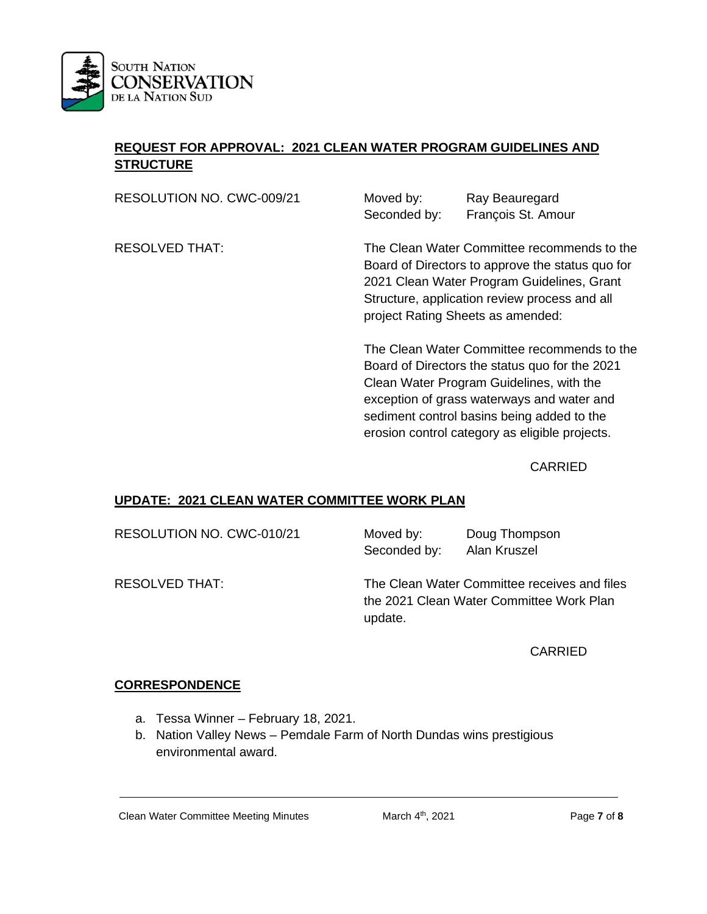

# **REQUEST FOR APPROVAL: 2021 CLEAN WATER PROGRAM GUIDELINES AND STRUCTURE**

RESOLUTION NO. CWC-009/21 Moved by: Ray Beauregard Seconded by: François St. Amour

RESOLVED THAT: The Clean Water Committee recommends to the Board of Directors to approve the status quo for 2021 Clean Water Program Guidelines, Grant Structure, application review process and all project Rating Sheets as amended:

> The Clean Water Committee recommends to the Board of Directors the status quo for the 2021 Clean Water Program Guidelines, with the exception of grass waterways and water and sediment control basins being added to the erosion control category as eligible projects.

> > CARRIED

## **UPDATE: 2021 CLEAN WATER COMMITTEE WORK PLAN**

RESOLUTION NO. CWC-010/21 Moved by: Doug Thompson

Seconded by: Alan Kruszel

RESOLVED THAT: The Clean Water Committee receives and files the 2021 Clean Water Committee Work Plan update.

CARRIED

## **CORRESPONDENCE**

- a. Tessa Winner February 18, 2021.
- b. Nation Valley News Pemdale Farm of North Dundas wins prestigious environmental award.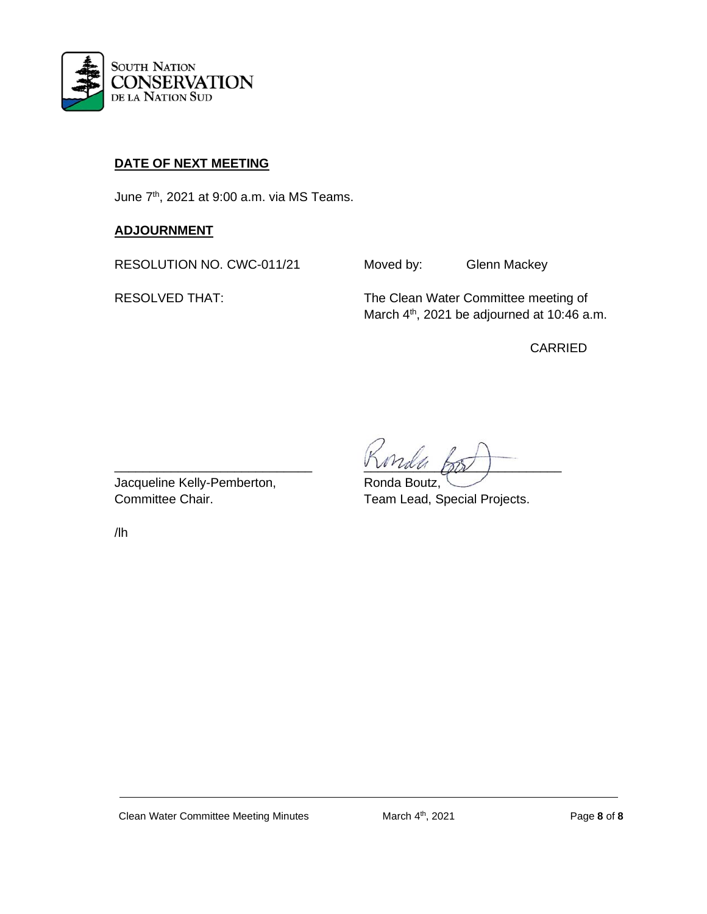

# **DATE OF NEXT MEETING**

June 7th, 2021 at 9:00 a.m. via MS Teams.

## **ADJOURNMENT**

RESOLUTION NO. CWC-011/21 Moved by: Glenn Mackey

RESOLVED THAT: The Clean Water Committee meeting of March 4<sup>th</sup>, 2021 be adjourned at 10:46 a.m.

CARRIED

Jacqueline Kelly-Pemberton, Ronda Boutz,

/lh

\_\_\_\_\_\_\_\_\_\_\_\_\_\_\_\_\_\_\_\_\_\_\_\_\_\_\_\_ \_\_\_\_\_\_\_\_\_\_\_\_\_\_\_\_\_\_\_\_\_\_\_\_\_\_\_\_

Committee Chair. Team Lead, Special Projects.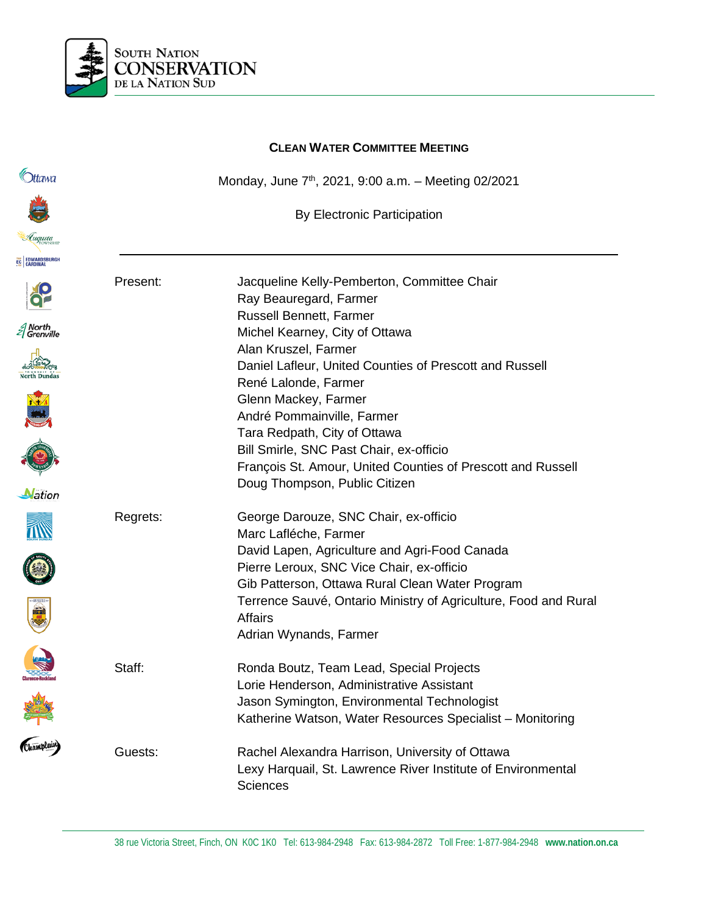

|                      |          | <b>CLEAN WATER COMMITTEE MEETING</b>                                                                     |
|----------------------|----------|----------------------------------------------------------------------------------------------------------|
| <b>Ottawa</b>        |          | Monday, June 7 <sup>th</sup> , 2021, 9:00 a.m. - Meeting 02/2021                                         |
|                      |          | <b>By Electronic Participation</b>                                                                       |
| Luqusta              |          |                                                                                                          |
| EC EDWARDSBURGH      |          |                                                                                                          |
|                      | Present: | Jacqueline Kelly-Pemberton, Committee Chair<br>Ray Beauregard, Farmer                                    |
| North<br>  Grenville |          | Russell Bennett, Farmer                                                                                  |
|                      |          | Michel Kearney, City of Ottawa<br>Alan Kruszel, Farmer                                                   |
|                      |          | Daniel Lafleur, United Counties of Prescott and Russell<br>René Lalonde, Farmer                          |
|                      |          | Glenn Mackey, Farmer                                                                                     |
|                      |          | André Pommainville, Farmer                                                                               |
|                      |          | Tara Redpath, City of Ottawa                                                                             |
|                      |          | Bill Smirle, SNC Past Chair, ex-officio                                                                  |
|                      |          | François St. Amour, United Counties of Prescott and Russell<br>Doug Thompson, Public Citizen             |
| Nation               |          |                                                                                                          |
|                      | Regrets: | George Darouze, SNC Chair, ex-officio                                                                    |
|                      |          | Marc Lafléche, Farmer                                                                                    |
|                      |          | David Lapen, Agriculture and Agri-Food Canada                                                            |
|                      |          | Pierre Leroux, SNC Vice Chair, ex-officio                                                                |
|                      |          | Gib Patterson, Ottawa Rural Clean Water Program                                                          |
| 74.70                |          | Terrence Sauvé, Ontario Ministry of Agriculture, Food and Rural<br>Affairs                               |
|                      |          | Adrian Wynands, Farmer                                                                                   |
|                      | Staff:   | Ronda Boutz, Team Lead, Special Projects                                                                 |
|                      |          | Lorie Henderson, Administrative Assistant                                                                |
| Kamplain             |          | Jason Symington, Environmental Technologist<br>Katherine Watson, Water Resources Specialist - Monitoring |
|                      | Guests:  | Rachel Alexandra Harrison, University of Ottawa                                                          |
|                      |          | Lexy Harquail, St. Lawrence River Institute of Environmental<br><b>Sciences</b>                          |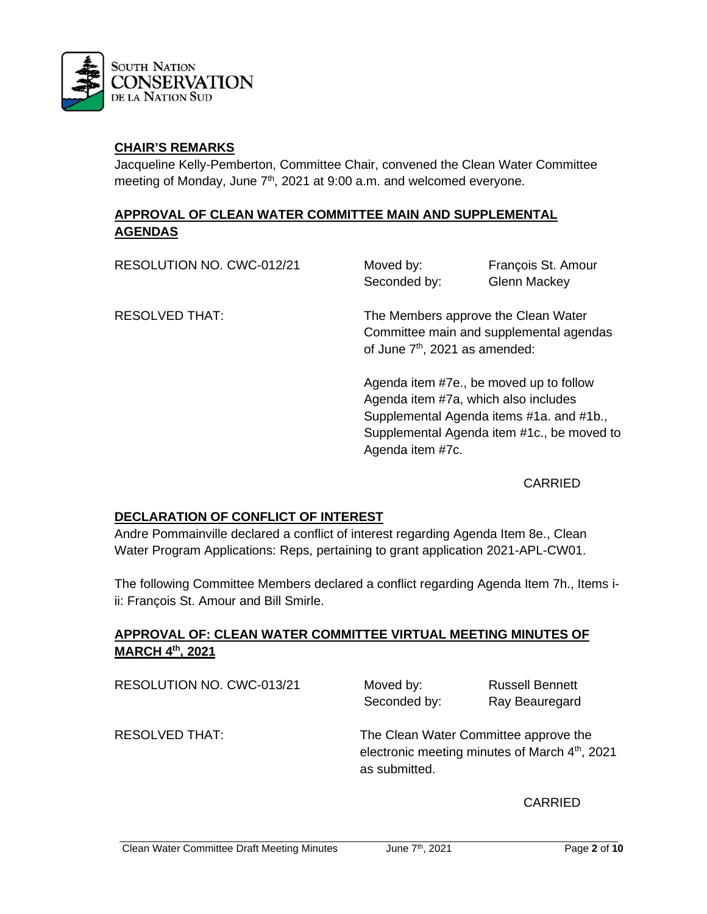

## **CHAIR'S REMARKS**

Jacqueline Kelly-Pemberton, Committee Chair, convened the Clean Water Committee meeting of Monday, June 7<sup>th</sup>, 2021 at 9:00 a.m. and welcomed everyone.

## **APPROVAL OF CLEAN WATER COMMITTEE MAIN AND SUPPLEMENTAL AGENDAS**

RESOLUTION NO. CWC-012/21 Moved by: François St. Amour Seconded by: Glenn Mackey RESOLVED THAT: The Members approve the Clean Water Committee main and supplemental agendas of June 7<sup>th</sup>, 2021 as amended:

> Agenda item #7e., be moved up to follow Agenda item #7a, which also includes Supplemental Agenda items #1a. and #1b., Supplemental Agenda item #1c., be moved to Agenda item #7c.

### CARRIED

## **DECLARATION OF CONFLICT OF INTEREST**

Andre Pommainville declared a conflict of interest regarding Agenda Item 8e., Clean Water Program Applications: Reps, pertaining to grant application 2021-APL-CW01.

The following Committee Members declared a conflict regarding Agenda Item 7h., Items iii: François St. Amour and Bill Smirle.

## **APPROVAL OF: CLEAN WATER COMMITTEE VIRTUAL MEETING MINUTES OF MARCH 4th, 2021**

RESOLUTION NO. CWC-013/21 Moved by: Russell Bennett

Seconded by: Ray Beauregard

RESOLVED THAT: The Clean Water Committee approve the electronic meeting minutes of March 4<sup>th</sup>, 2021 as submitted.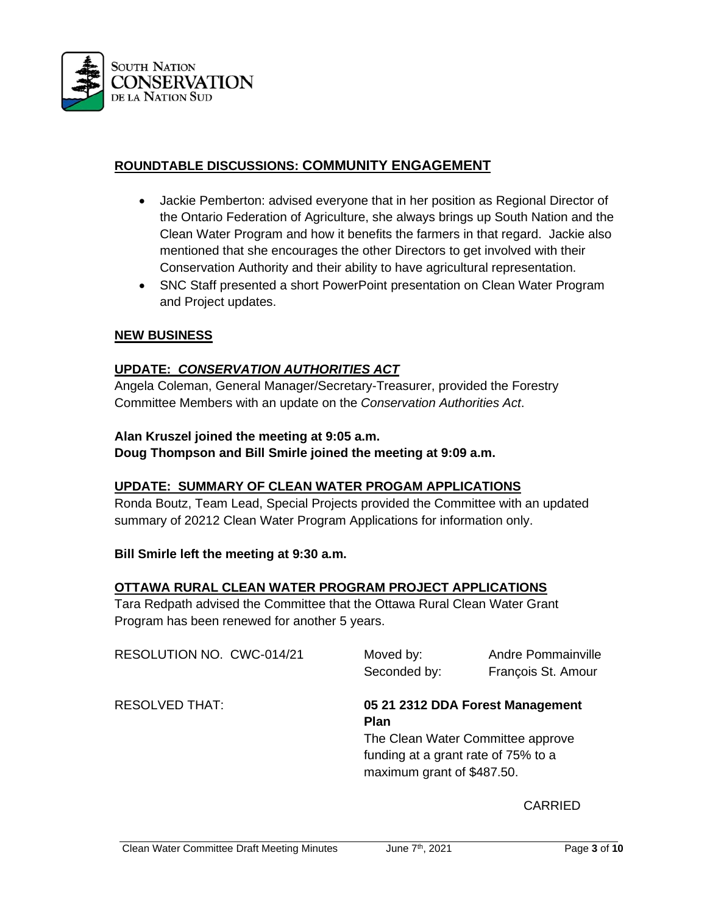

# **ROUNDTABLE DISCUSSIONS: COMMUNITY ENGAGEMENT**

- Jackie Pemberton: advised everyone that in her position as Regional Director of the Ontario Federation of Agriculture, she always brings up South Nation and the Clean Water Program and how it benefits the farmers in that regard. Jackie also mentioned that she encourages the other Directors to get involved with their Conservation Authority and their ability to have agricultural representation.
- SNC Staff presented a short PowerPoint presentation on Clean Water Program and Project updates.

### **NEW BUSINESS**

## **UPDATE:** *CONSERVATION AUTHORITIES ACT*

Angela Coleman, General Manager/Secretary-Treasurer, provided the Forestry Committee Members with an update on the *Conservation Authorities Act*.

### **Alan Kruszel joined the meeting at 9:05 a.m.**

**Doug Thompson and Bill Smirle joined the meeting at 9:09 a.m.**

### **UPDATE: SUMMARY OF CLEAN WATER PROGAM APPLICATIONS**

Ronda Boutz, Team Lead, Special Projects provided the Committee with an updated summary of 20212 Clean Water Program Applications for information only.

### **Bill Smirle left the meeting at 9:30 a.m.**

### **OTTAWA RURAL CLEAN WATER PROGRAM PROJECT APPLICATIONS**

Tara Redpath advised the Committee that the Ottawa Rural Clean Water Grant Program has been renewed for another 5 years.

RESOLUTION NO. CWC-014/21 Moved by: Andre Pommainville Seconded by: François St. Amour RESOLVED THAT: **05 21 2312 DDA Forest Management Plan**  The Clean Water Committee approve funding at a grant rate of 75% to a maximum grant of \$487.50.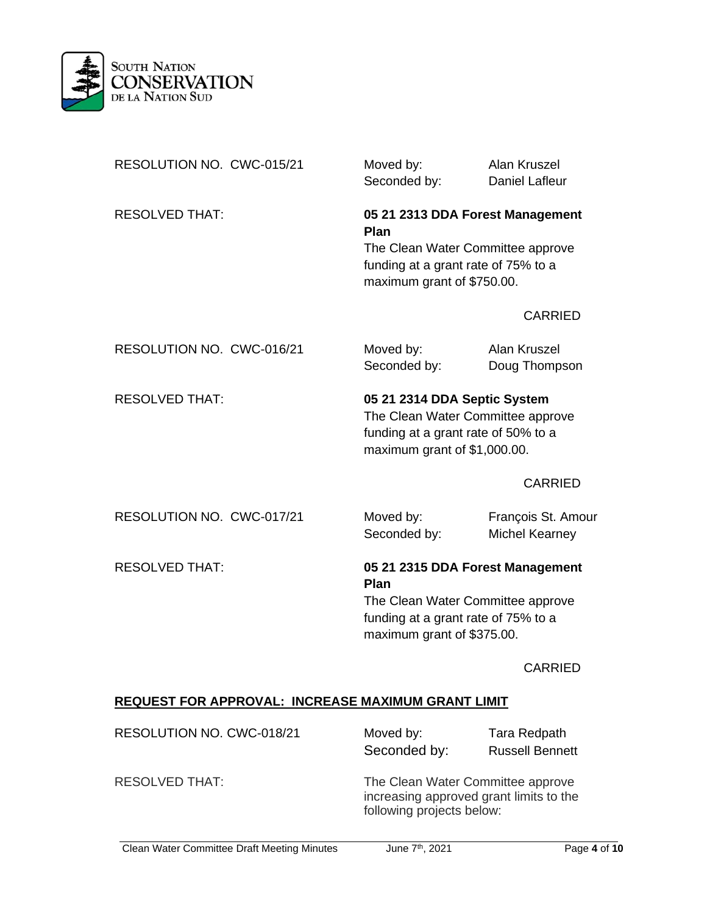

| RESOLUTION NO. CWC-015/21                                 | Moved by:<br>Seconded by:                                                                                                                          | Alan Kruszel<br><b>Daniel Lafleur</b>       |
|-----------------------------------------------------------|----------------------------------------------------------------------------------------------------------------------------------------------------|---------------------------------------------|
| <b>RESOLVED THAT:</b>                                     | 05 21 2313 DDA Forest Management<br>Plan<br>The Clean Water Committee approve<br>funding at a grant rate of 75% to a<br>maximum grant of \$750.00. |                                             |
|                                                           |                                                                                                                                                    | <b>CARRIED</b>                              |
| RESOLUTION NO. CWC-016/21                                 | Moved by:<br>Seconded by:                                                                                                                          | Alan Kruszel<br>Doug Thompson               |
| <b>RESOLVED THAT:</b>                                     | 05 21 2314 DDA Septic System<br>The Clean Water Committee approve<br>funding at a grant rate of 50% to a<br>maximum grant of \$1,000.00.           |                                             |
|                                                           |                                                                                                                                                    | <b>CARRIED</b>                              |
| RESOLUTION NO. CWC-017/21                                 | Moved by:<br>Seconded by:                                                                                                                          | François St. Amour<br><b>Michel Kearney</b> |
| <b>RESOLVED THAT:</b>                                     | 05 21 2315 DDA Forest Management<br>Plan<br>The Clean Water Committee approve<br>funding at a grant rate of 75% to a<br>maximum grant of \$375.00. |                                             |
|                                                           |                                                                                                                                                    | <b>CARRIED</b>                              |
| <b>REQUEST FOR APPROVAL: INCREASE MAXIMUM GRANT LIMIT</b> |                                                                                                                                                    |                                             |

| RESOLUTION NO. CWC-018/21 | Moved by:<br>Seconded by:                                                                                 | Tara Redpath<br><b>Russell Bennett</b> |
|---------------------------|-----------------------------------------------------------------------------------------------------------|----------------------------------------|
| <b>RESOLVED THAT:</b>     | The Clean Water Committee approve<br>increasing approved grant limits to the<br>following projects below: |                                        |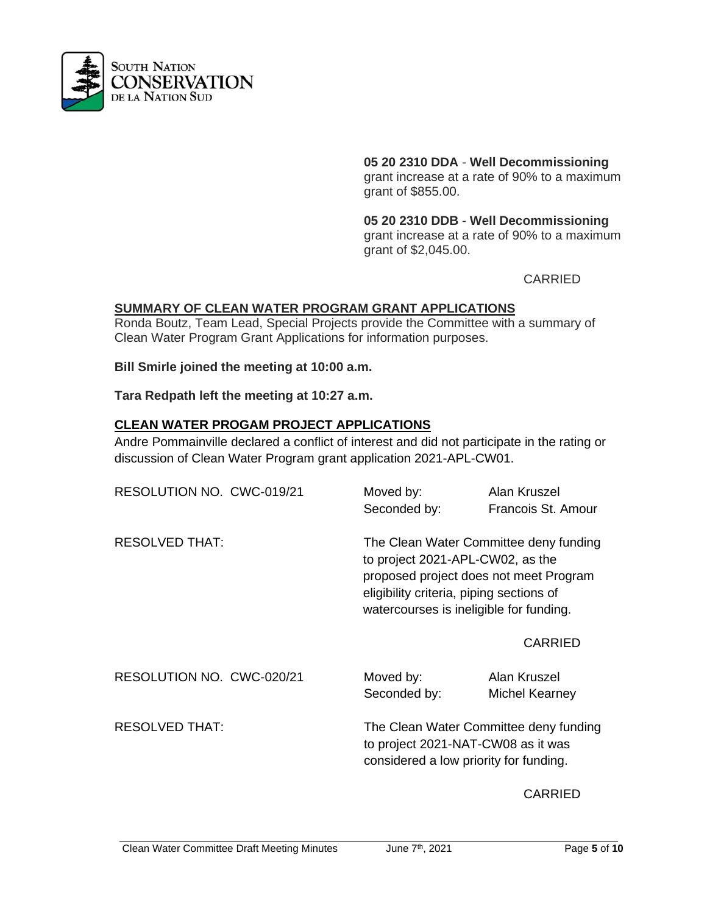

**05 20 2310 DDA** - **Well Decommissioning** 

grant increase at a rate of 90% to a maximum grant of \$855.00.

**05 20 2310 DDB** - **Well Decommissioning**  grant increase at a rate of 90% to a maximum grant of \$2,045.00.

CARRIED

## **SUMMARY OF CLEAN WATER PROGRAM GRANT APPLICATIONS**

Ronda Boutz, Team Lead, Special Projects provide the Committee with a summary of Clean Water Program Grant Applications for information purposes.

**Bill Smirle joined the meeting at 10:00 a.m.**

**Tara Redpath left the meeting at 10:27 a.m.**

## **CLEAN WATER PROGAM PROJECT APPLICATIONS**

Andre Pommainville declared a conflict of interest and did not participate in the rating or discussion of Clean Water Program grant application 2021-APL-CW01.

| RESOLUTION NO. CWC-019/21 | Moved by:<br>Seconded by: | Alan Kruszel<br>Francois St. Amour                                                                                                                                                                          |  |
|---------------------------|---------------------------|-------------------------------------------------------------------------------------------------------------------------------------------------------------------------------------------------------------|--|
| <b>RESOLVED THAT:</b>     |                           | The Clean Water Committee deny funding<br>to project 2021-APL-CW02, as the<br>proposed project does not meet Program<br>eligibility criteria, piping sections of<br>watercourses is ineligible for funding. |  |
|                           |                           | <b>CARRIED</b>                                                                                                                                                                                              |  |
| RESOLUTION NO. CWC-020/21 | Moved by:<br>Seconded by: | Alan Kruszel<br>Michel Kearney                                                                                                                                                                              |  |
| <b>RESOLVED THAT:</b>     |                           | The Clean Water Committee deny funding<br>to project 2021-NAT-CW08 as it was<br>considered a low priority for funding.                                                                                      |  |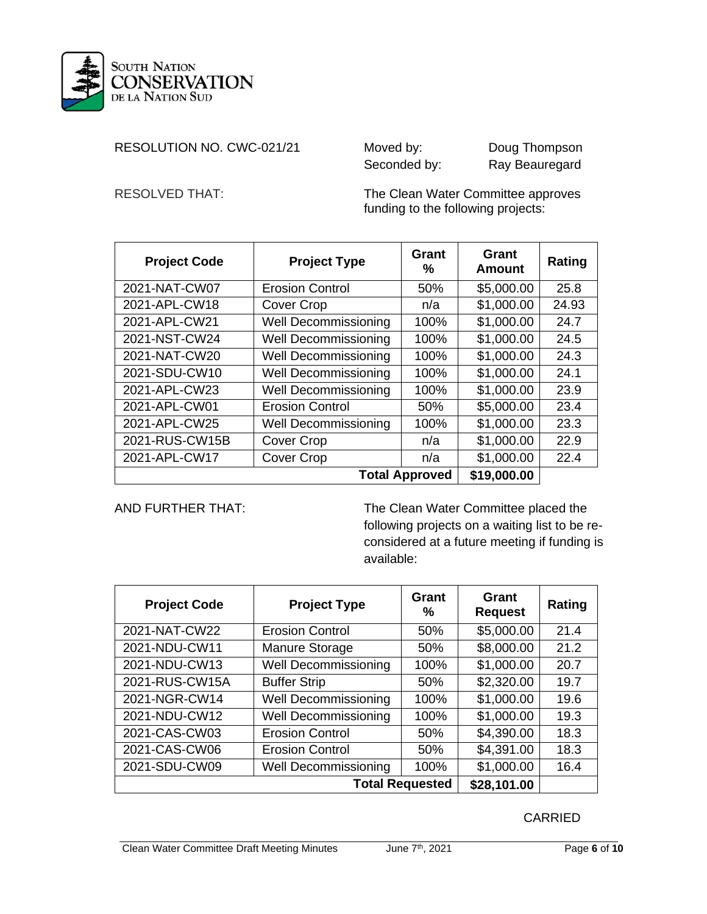

## RESOLUTION NO. CWC-021/21 Moved by: Doug Thompson

Seconded by: Ray Beauregard

RESOLVED THAT: The Clean Water Committee approves funding to the following projects:

| <b>Project Code</b>                  | <b>Project Type</b>         | <b>Grant</b><br>℅ | Grant<br><b>Amount</b> | Rating |
|--------------------------------------|-----------------------------|-------------------|------------------------|--------|
| 2021-NAT-CW07                        | <b>Erosion Control</b>      | 50%               | \$5,000.00             | 25.8   |
| 2021-APL-CW18                        | Cover Crop                  | n/a               | \$1,000.00             | 24.93  |
| 2021-APL-CW21                        | <b>Well Decommissioning</b> | 100%              | \$1,000.00             | 24.7   |
| 2021-NST-CW24                        | <b>Well Decommissioning</b> | 100%              | \$1,000.00             | 24.5   |
| 2021-NAT-CW20                        | <b>Well Decommissioning</b> | 100%              | \$1,000.00             | 24.3   |
| 2021-SDU-CW10                        | <b>Well Decommissioning</b> | 100%              | \$1,000.00             | 24.1   |
| 2021-APL-CW23                        | <b>Well Decommissioning</b> | 100%              | \$1,000.00             | 23.9   |
| 2021-APL-CW01                        | <b>Erosion Control</b>      |                   | \$5,000.00             | 23.4   |
| 2021-APL-CW25                        | <b>Well Decommissioning</b> | 100%              | \$1,000.00             | 23.3   |
| 2021-RUS-CW15B                       | <b>Cover Crop</b>           | n/a               | \$1,000.00             | 22.9   |
| <b>Cover Crop</b><br>2021-APL-CW17   |                             | n/a               | \$1,000.00             | 22.4   |
| <b>Total Approved</b><br>\$19,000.00 |                             |                   |                        |        |

AND FURTHER THAT: The Clean Water Committee placed the following projects on a waiting list to be reconsidered at a future meeting if funding is available:

| <b>Project Code</b>                          | <b>Project Type</b>         | Grant<br>%             | Grant<br><b>Request</b> | Rating |
|----------------------------------------------|-----------------------------|------------------------|-------------------------|--------|
| 2021-NAT-CW22                                | <b>Erosion Control</b>      | 50%                    | \$5,000.00              | 21.4   |
| 2021-NDU-CW11                                | <b>Manure Storage</b>       | 50%                    | \$8,000.00              | 21.2   |
| 2021-NDU-CW13                                | <b>Well Decommissioning</b> | 100%                   | \$1,000.00              | 20.7   |
| 2021-RUS-CW15A                               | <b>Buffer Strip</b>         | 50%                    | \$2,320.00              | 19.7   |
| 2021-NGR-CW14                                | <b>Well Decommissioning</b> | 100%                   | \$1,000.00              | 19.6   |
| 2021-NDU-CW12                                | <b>Well Decommissioning</b> | 100%                   | \$1,000.00              | 19.3   |
| 2021-CAS-CW03                                | <b>Erosion Control</b>      | 50%                    | \$4,390.00              | 18.3   |
| 2021-CAS-CW06                                | <b>Erosion Control</b>      | 50%                    | \$4,391.00              | 18.3   |
| <b>Well Decommissioning</b><br>2021-SDU-CW09 |                             | 100%                   | \$1,000.00              | 16.4   |
|                                              |                             | <b>Total Requested</b> | \$28,101.00             |        |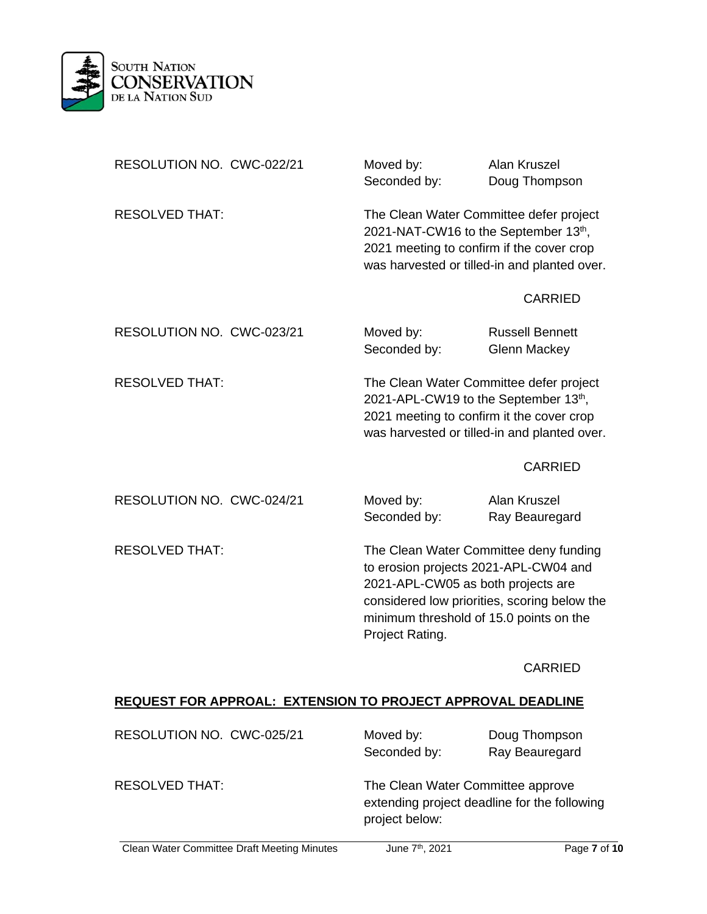

| RESOLUTION NO. CWC-022/21 | Moved by:<br>Seconded by:                                                                                                                                                                                                           | <b>Alan Kruszel</b><br>Doug Thompson          |
|---------------------------|-------------------------------------------------------------------------------------------------------------------------------------------------------------------------------------------------------------------------------------|-----------------------------------------------|
| <b>RESOLVED THAT:</b>     | The Clean Water Committee defer project<br>2021-NAT-CW16 to the September 13th,<br>2021 meeting to confirm if the cover crop<br>was harvested or tilled-in and planted over.                                                        |                                               |
|                           |                                                                                                                                                                                                                                     | <b>CARRIED</b>                                |
| RESOLUTION NO. CWC-023/21 | Moved by:<br>Seconded by:                                                                                                                                                                                                           | <b>Russell Bennett</b><br><b>Glenn Mackey</b> |
| <b>RESOLVED THAT:</b>     | The Clean Water Committee defer project<br>2021-APL-CW19 to the September 13th,<br>2021 meeting to confirm it the cover crop                                                                                                        | was harvested or tilled-in and planted over.  |
|                           |                                                                                                                                                                                                                                     | <b>CARRIED</b>                                |
| RESOLUTION NO. CWC-024/21 | Moved by:<br>Seconded by:                                                                                                                                                                                                           | Alan Kruszel<br>Ray Beauregard                |
| <b>RESOLVED THAT:</b>     | The Clean Water Committee deny funding<br>to erosion projects 2021-APL-CW04 and<br>2021-APL-CW05 as both projects are<br>considered low priorities, scoring below the<br>minimum threshold of 15.0 points on the<br>Project Rating. |                                               |
|                           |                                                                                                                                                                                                                                     | <b>CARRIED</b>                                |

## **REQUEST FOR APPROAL: EXTENSION TO PROJECT APPROVAL DEADLINE**

| RESOLUTION NO. CWC-025/21 | Moved by:<br>Seconded by:                           | Doug Thompson<br>Ray Beauregard              |
|---------------------------|-----------------------------------------------------|----------------------------------------------|
| <b>RESOLVED THAT:</b>     | The Clean Water Committee approve<br>project below: | extending project deadline for the following |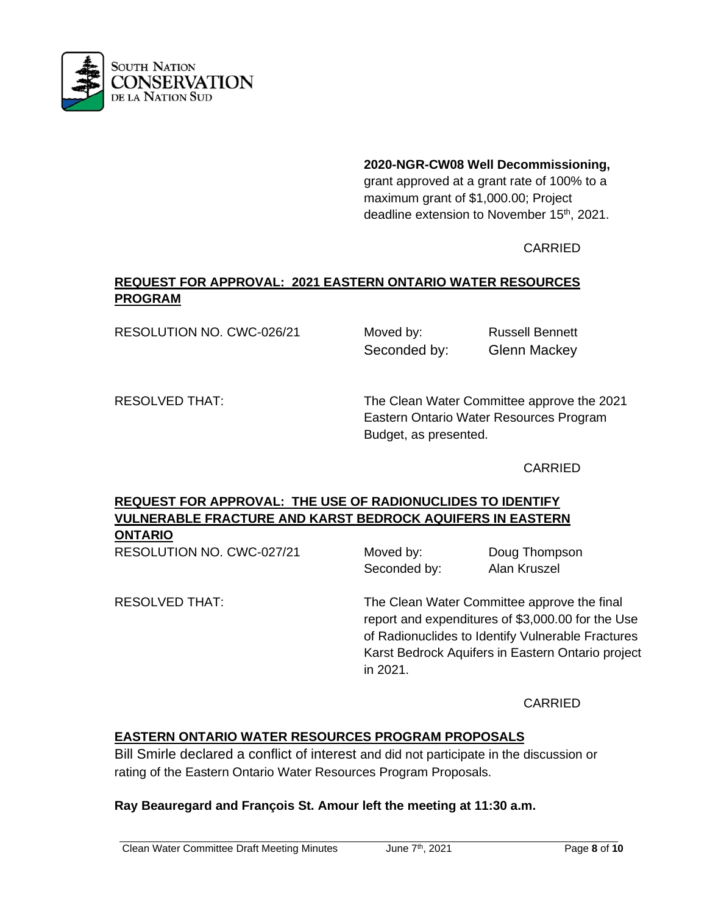

**2020-NGR-CW08 Well Decommissioning,** 

grant approved at a grant rate of 100% to a maximum grant of \$1,000.00; Project deadline extension to November 15<sup>th</sup>, 2021.

# CARRIED

# **REQUEST FOR APPROVAL: 2021 EASTERN ONTARIO WATER RESOURCES PROGRAM**

RESOLUTION NO. CWC-026/21 Moved by: Russell Bennett

Seconded by: Glenn Mackey

RESOLVED THAT: The Clean Water Committee approve the 2021 Eastern Ontario Water Resources Program Budget, as presented.

## CARRIED

# **REQUEST FOR APPROVAL: THE USE OF RADIONUCLIDES TO IDENTIFY VULNERABLE FRACTURE AND KARST BEDROCK AQUIFERS IN EASTERN**

**ONTARIO**

RESOLUTION NO. CWC-027/21 Moved by: Doug Thompson Seconded by: Alan Kruszel

RESOLVED THAT: The Clean Water Committee approve the final report and expenditures of \$3,000.00 for the Use of Radionuclides to Identify Vulnerable Fractures Karst Bedrock Aquifers in Eastern Ontario project in 2021.

CARRIED

# **EASTERN ONTARIO WATER RESOURCES PROGRAM PROPOSALS**

Bill Smirle declared a conflict of interest and did not participate in the discussion or rating of the Eastern Ontario Water Resources Program Proposals.

## **Ray Beauregard and François St. Amour left the meeting at 11:30 a.m.**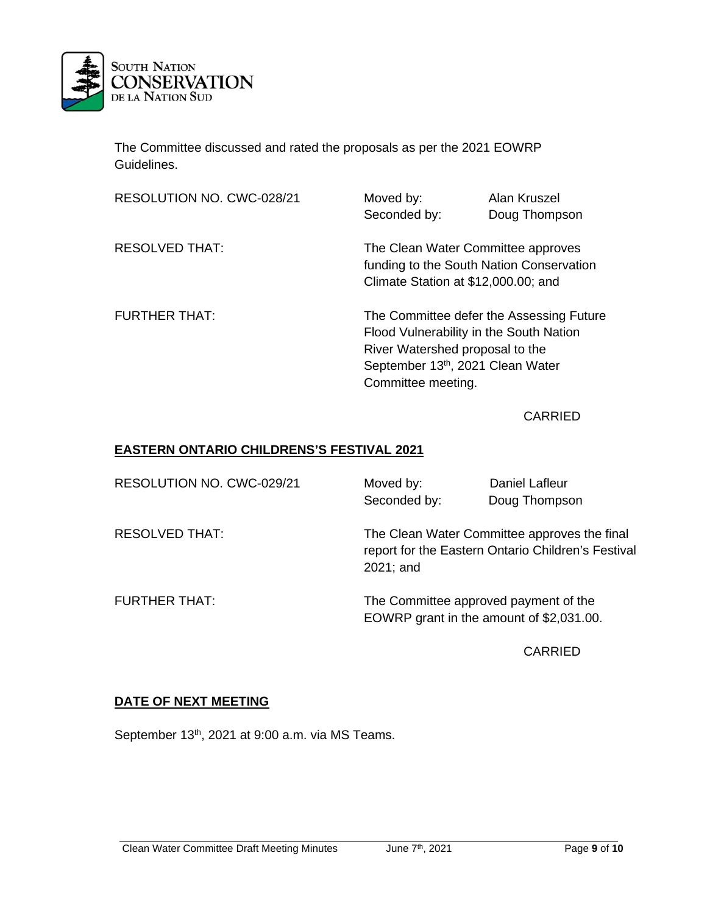

The Committee discussed and rated the proposals as per the 2021 EOWRP Guidelines.

| RESOLUTION NO. CWC-028/21 | Moved by:<br>Seconded by:                                                                                             | Alan Kruszel<br>Doug Thompson |  |
|---------------------------|-----------------------------------------------------------------------------------------------------------------------|-------------------------------|--|
| <b>RESOLVED THAT:</b>     | The Clean Water Committee approves<br>funding to the South Nation Conservation<br>Climate Station at \$12,000.00; and |                               |  |
| <b>FURTHER THAT:</b>      | The Committee defer the Assessing Future<br>Flood Vulnerability in the South Nation                                   |                               |  |
|                           | River Watershed proposal to the<br>September 13th, 2021 Clean Water<br>Committee meeting.                             |                               |  |

CARRIED

## **EASTERN ONTARIO CHILDRENS'S FESTIVAL 2021**

| RESOLUTION NO. CWC-029/21 | Moved by:<br>Seconded by:                                                         | Daniel Lafleur<br>Doug Thompson                                                                    |
|---------------------------|-----------------------------------------------------------------------------------|----------------------------------------------------------------------------------------------------|
| <b>RESOLVED THAT:</b>     | 2021; and                                                                         | The Clean Water Committee approves the final<br>report for the Eastern Ontario Children's Festival |
| <b>FURTHER THAT:</b>      | The Committee approved payment of the<br>EOWRP grant in the amount of \$2,031.00. |                                                                                                    |

CARRIED

## **DATE OF NEXT MEETING**

September 13<sup>th</sup>, 2021 at 9:00 a.m. via MS Teams.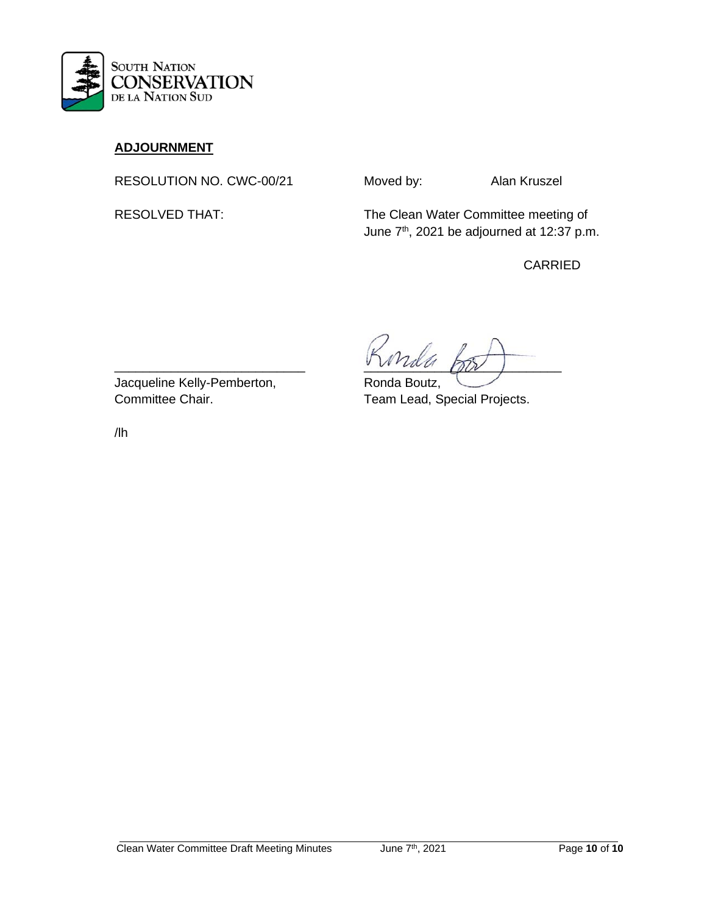

# **ADJOURNMENT**

RESOLUTION NO. CWC-00/21 Moved by: Alan Kruszel

RESOLVED THAT: The Clean Water Committee meeting of June 7<sup>th</sup>, 2021 be adjourned at 12:37 p.m.

CARRIED

 $\frac{1}{2}$ 

Jacqueline Kelly-Pemberton, Ronda Boutz, Committee Chair. Team Lead, Special Projects.

/lh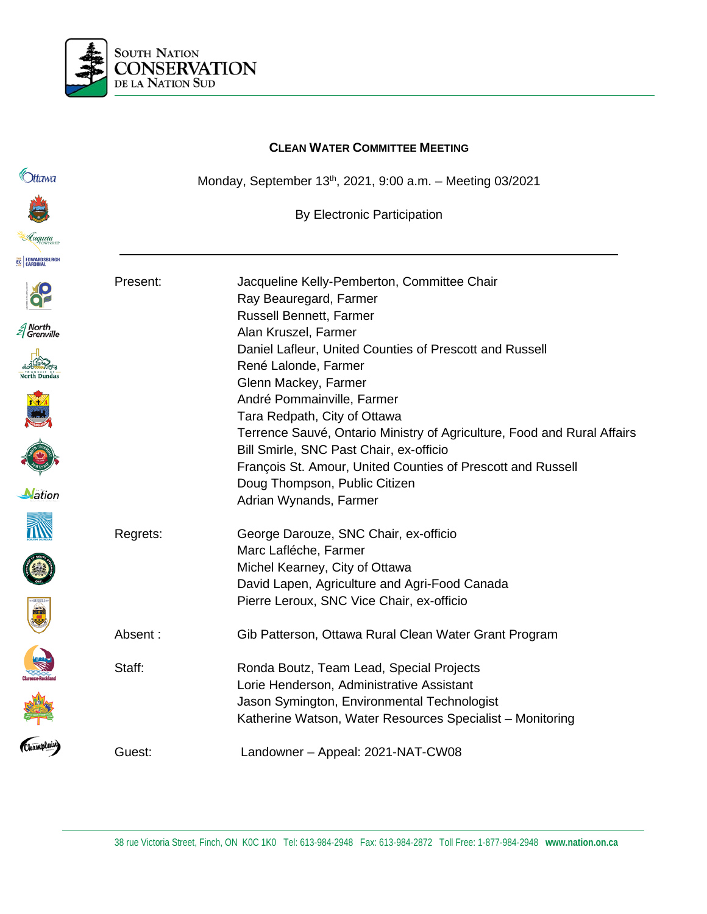

|                      |          | <b>CLEAN WATER COMMITTEE MEETING</b>                                    |
|----------------------|----------|-------------------------------------------------------------------------|
| Ittawa               |          | Monday, September 13th, 2021, 9:00 a.m. - Meeting 03/2021               |
|                      |          | By Electronic Participation                                             |
| Luqusta              |          |                                                                         |
| EC EDWARDSBURGH      |          |                                                                         |
|                      | Present: | Jacqueline Kelly-Pemberton, Committee Chair<br>Ray Beauregard, Farmer   |
|                      |          | <b>Russell Bennett, Farmer</b>                                          |
| North<br>  Grenville |          | Alan Kruszel, Farmer                                                    |
|                      |          | Daniel Lafleur, United Counties of Prescott and Russell                 |
|                      |          | René Lalonde, Farmer                                                    |
|                      |          | Glenn Mackey, Farmer                                                    |
|                      |          | André Pommainville, Farmer                                              |
|                      |          | Tara Redpath, City of Ottawa                                            |
|                      |          | Terrence Sauvé, Ontario Ministry of Agriculture, Food and Rural Affairs |
|                      |          | Bill Smirle, SNC Past Chair, ex-officio                                 |
|                      |          | François St. Amour, United Counties of Prescott and Russell             |
| Nation               |          | Doug Thompson, Public Citizen                                           |
|                      |          | Adrian Wynands, Farmer                                                  |
|                      |          |                                                                         |
|                      | Regrets: | George Darouze, SNC Chair, ex-officio                                   |
|                      |          | Marc Lafléche, Farmer                                                   |
|                      |          | Michel Kearney, City of Ottawa                                          |
|                      |          | David Lapen, Agriculture and Agri-Food Canada                           |
|                      |          | Pierre Leroux, SNC Vice Chair, ex-officio                               |
| 富                    |          |                                                                         |
|                      | Absent:  | Gib Patterson, Ottawa Rural Clean Water Grant Program                   |
|                      |          |                                                                         |
|                      | Staff:   | Ronda Boutz, Team Lead, Special Projects                                |
|                      |          | Lorie Henderson, Administrative Assistant                               |
|                      |          | Jason Symington, Environmental Technologist                             |
|                      |          | Katherine Watson, Water Resources Specialist - Monitoring               |
| Champlain            | Guest:   | Landowner - Appeal: 2021-NAT-CW08                                       |
|                      |          |                                                                         |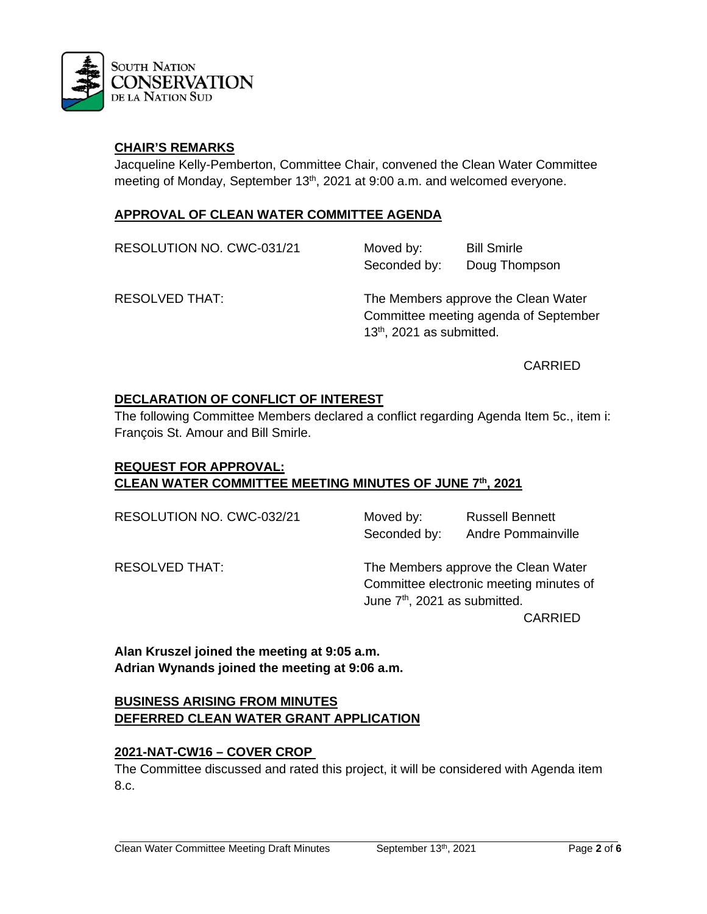

## **CHAIR'S REMARKS**

Jacqueline Kelly-Pemberton, Committee Chair, convened the Clean Water Committee meeting of Monday, September 13<sup>th</sup>, 2021 at 9:00 a.m. and welcomed everyone.

## **APPROVAL OF CLEAN WATER COMMITTEE AGENDA**

| RESOLUTION NO. CWC-031/21 | Moved by:<br>Seconded by:                                                                                             | <b>Bill Smirle</b><br>Doug Thompson |
|---------------------------|-----------------------------------------------------------------------------------------------------------------------|-------------------------------------|
| <b>RESOLVED THAT:</b>     | The Members approve the Clean Water<br>Committee meeting agenda of September<br>13 <sup>th</sup> , 2021 as submitted. |                                     |

CARRIED

### **DECLARATION OF CONFLICT OF INTEREST**

The following Committee Members declared a conflict regarding Agenda Item 5c., item i: François St. Amour and Bill Smirle.

# **REQUEST FOR APPROVAL: CLEAN WATER COMMITTEE MEETING MINUTES OF JUNE 7th, 2021**

RESOLUTION NO. CWC-032/21 Moved by: Russell Bennett Seconded by: Andre Pommainville

RESOLVED THAT: The Members approve the Clean Water Committee electronic meeting minutes of June  $7<sup>th</sup>$ , 2021 as submitted.

CARRIED

**Alan Kruszel joined the meeting at 9:05 a.m. Adrian Wynands joined the meeting at 9:06 a.m.**

## **BUSINESS ARISING FROM MINUTES DEFERRED CLEAN WATER GRANT APPLICATION**

### **2021-NAT-CW16 – COVER CROP**

The Committee discussed and rated this project, it will be considered with Agenda item 8.c.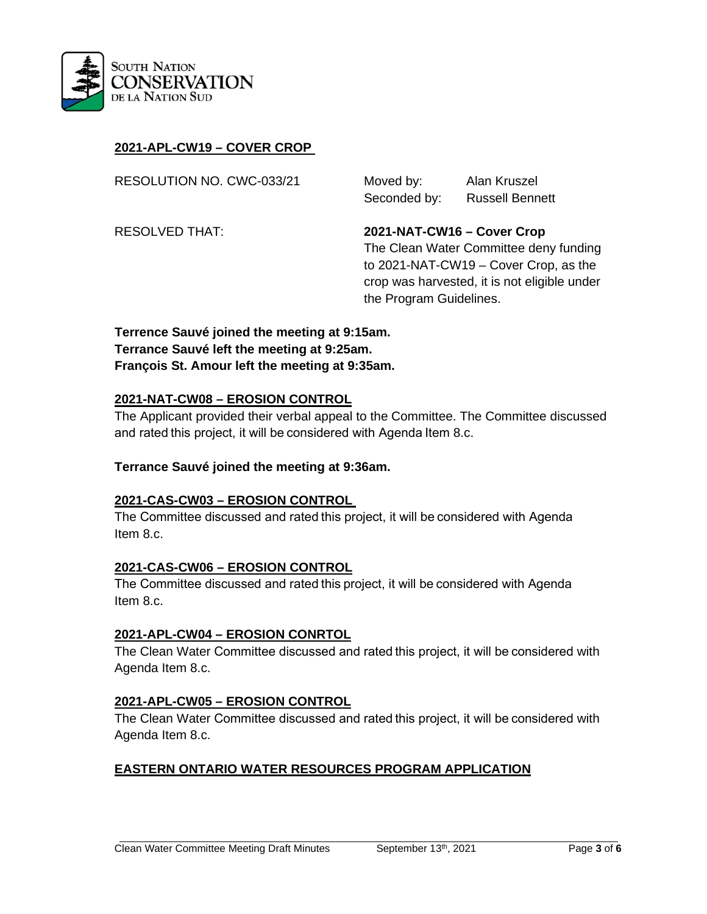

## **2021-APL-CW19 – COVER CROP**

RESOLUTION NO. CWC-033/21 Moved by: Alan Kruszel

Seconded by: Russell Bennett

the Program Guidelines.

RESOLVED THAT: **2021-NAT-CW16 – Cover Crop** The Clean Water Committee deny funding to 2021-NAT-CW19 – Cover Crop, as the crop was harvested, it is not eligible under

**Terrence Sauvé joined the meeting at 9:15am. Terrance Sauvé left the meeting at 9:25am. François St. Amour left the meeting at 9:35am.**

#### **2021-NAT-CW08 – EROSION CONTROL**

The Applicant provided their verbal appeal to the Committee. The Committee discussed and rated this project, it will be considered with Agenda Item 8.c.

### **Terrance Sauvé joined the meeting at 9:36am.**

#### **2021-CAS-CW03 – EROSION CONTROL**

The Committee discussed and rated this project, it will be considered with Agenda   Item 8.c.

### **2021-CAS-CW06 – EROSION CONTROL**

The Committee discussed and rated this project, it will be considered with Agenda   Item 8.c.

### **2021-APL-CW04 – EROSION CONRTOL**

The Clean Water Committee discussed and rated this project, it will be considered with Agenda Item 8.c.

### **2021-APL-CW05 – EROSION CONTROL**

The Clean Water Committee discussed and rated this project, it will be considered with Agenda Item 8.c.

## **EASTERN ONTARIO WATER RESOURCES PROGRAM APPLICATION**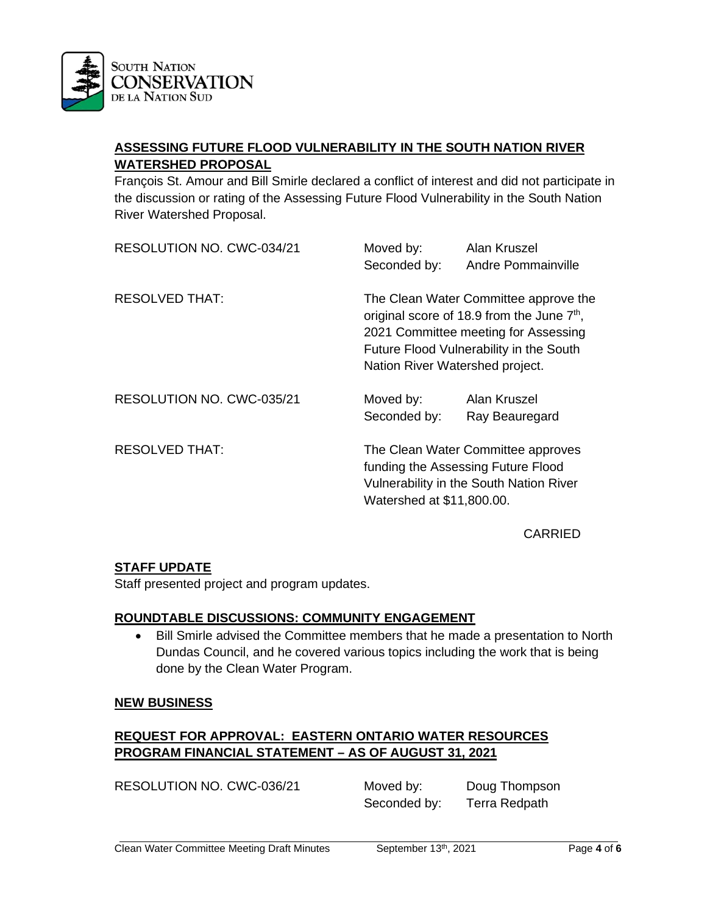

# **ASSESSING FUTURE FLOOD VULNERABILITY IN THE SOUTH NATION RIVER WATERSHED PROPOSAL**

François St. Amour and Bill Smirle declared a conflict of interest and did not participate in the discussion or rating of the Assessing Future Flood Vulnerability in the South Nation River Watershed Proposal.

| RESOLUTION NO. CWC-034/21 | Moved by:<br>Seconded by: | Alan Kruszel<br>Andre Pommainville                                                                                                                                                                                    |  |
|---------------------------|---------------------------|-----------------------------------------------------------------------------------------------------------------------------------------------------------------------------------------------------------------------|--|
| <b>RESOLVED THAT:</b>     |                           | The Clean Water Committee approve the<br>original score of 18.9 from the June 7 <sup>th</sup> ,<br>2021 Committee meeting for Assessing<br>Future Flood Vulnerability in the South<br>Nation River Watershed project. |  |
| RESOLUTION NO. CWC-035/21 | Moved by:<br>Seconded by: | Alan Kruszel<br>Ray Beauregard                                                                                                                                                                                        |  |
| <b>RESOLVED THAT:</b>     |                           | The Clean Water Committee approves<br>funding the Assessing Future Flood<br>Vulnerability in the South Nation River<br>Watershed at \$11,800.00.                                                                      |  |

CARRIED

## **STAFF UPDATE**

Staff presented project and program updates.

## **ROUNDTABLE DISCUSSIONS: COMMUNITY ENGAGEMENT**

• Bill Smirle advised the Committee members that he made a presentation to North Dundas Council, and he covered various topics including the work that is being done by the Clean Water Program.

### **NEW BUSINESS**

# **REQUEST FOR APPROVAL: EASTERN ONTARIO WATER RESOURCES PROGRAM FINANCIAL STATEMENT – AS OF AUGUST 31, 2021**

RESOLUTION NO. CWC-036/21 Moved by: Doug Thompson Seconded by: Terra Redpath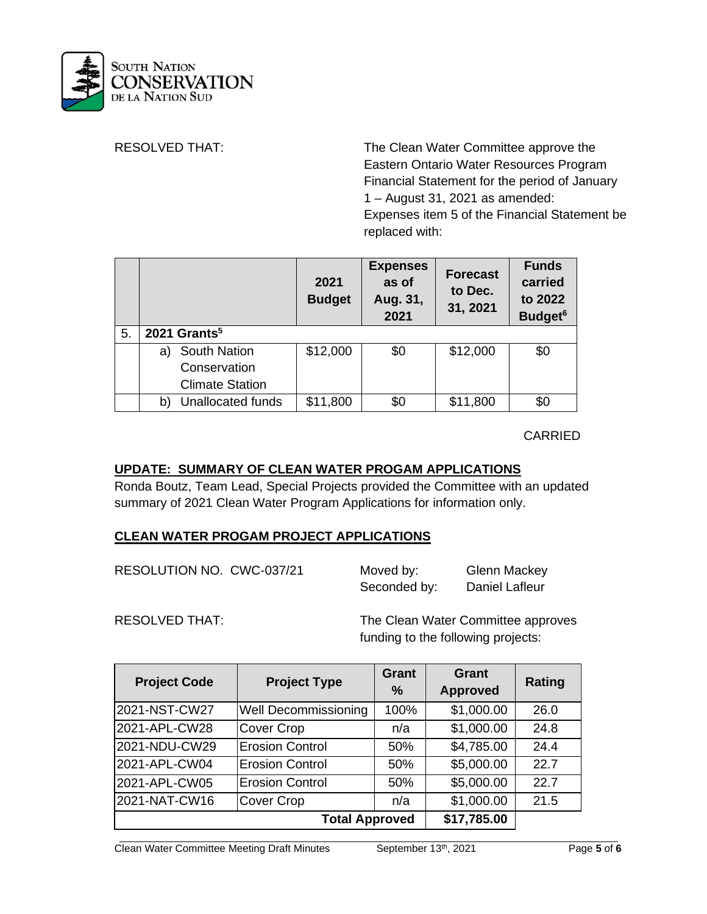

RESOLVED THAT: The Clean Water Committee approve the Eastern Ontario Water Resources Program Financial Statement for the period of January 1 – August 31, 2021 as amended: Expenses item 5 of the Financial Statement be replaced with:

|    |                           | 2021<br><b>Budget</b> | <b>Expenses</b><br>as of<br>Aug. 31,<br>2021 | <b>Forecast</b><br>to Dec.<br>31, 2021 | <b>Funds</b><br>carried<br>to 2022<br>Budget <sup>6</sup> |
|----|---------------------------|-----------------------|----------------------------------------------|----------------------------------------|-----------------------------------------------------------|
| 5. | 2021 Grants <sup>5</sup>  |                       |                                              |                                        |                                                           |
|    | <b>South Nation</b><br>a) | \$12,000              | \$0                                          | \$12,000                               | \$0                                                       |
|    | Conservation              |                       |                                              |                                        |                                                           |
|    | <b>Climate Station</b>    |                       |                                              |                                        |                                                           |
|    | Unallocated funds<br>b)   | \$11,800              | \$0                                          | \$11,800                               | \$0                                                       |

CARRIED

## **UPDATE: SUMMARY OF CLEAN WATER PROGAM APPLICATIONS**

Ronda Boutz, Team Lead, Special Projects provided the Committee with an updated summary of 2021 Clean Water Program Applications for information only.

## **CLEAN WATER PROGAM PROJECT APPLICATIONS**

| RESOLUTION NO. CWC-037/21 | Moved by:    | Glenn Mackey   |  |
|---------------------------|--------------|----------------|--|
|                           | Seconded by: | Daniel Lafleur |  |

RESOLVED THAT: The Clean Water Committee approves funding to the following projects:

| <b>Project Code</b>                  | <b>Project Type</b>    | <b>Grant</b><br>$\%$ | <b>Grant</b><br><b>Approved</b> | Rating |
|--------------------------------------|------------------------|----------------------|---------------------------------|--------|
| 2021-NST-CW27                        | Well Decommissioning   | 100%                 | \$1,000.00                      | 26.0   |
| 2021-APL-CW28                        | Cover Crop             | n/a                  | \$1,000.00                      | 24.8   |
| 2021-NDU-CW29                        | <b>Erosion Control</b> | 50%                  | \$4,785.00                      | 24.4   |
| 2021-APL-CW04                        | <b>Erosion Control</b> | 50%                  | \$5,000.00                      | 22.7   |
| 2021-APL-CW05                        | <b>Erosion Control</b> | 50%                  | \$5,000.00                      | 22.7   |
| 2021-NAT-CW16                        | Cover Crop             | n/a                  | \$1,000.00                      | 21.5   |
| \$17,785.00<br><b>Total Approved</b> |                        |                      |                                 |        |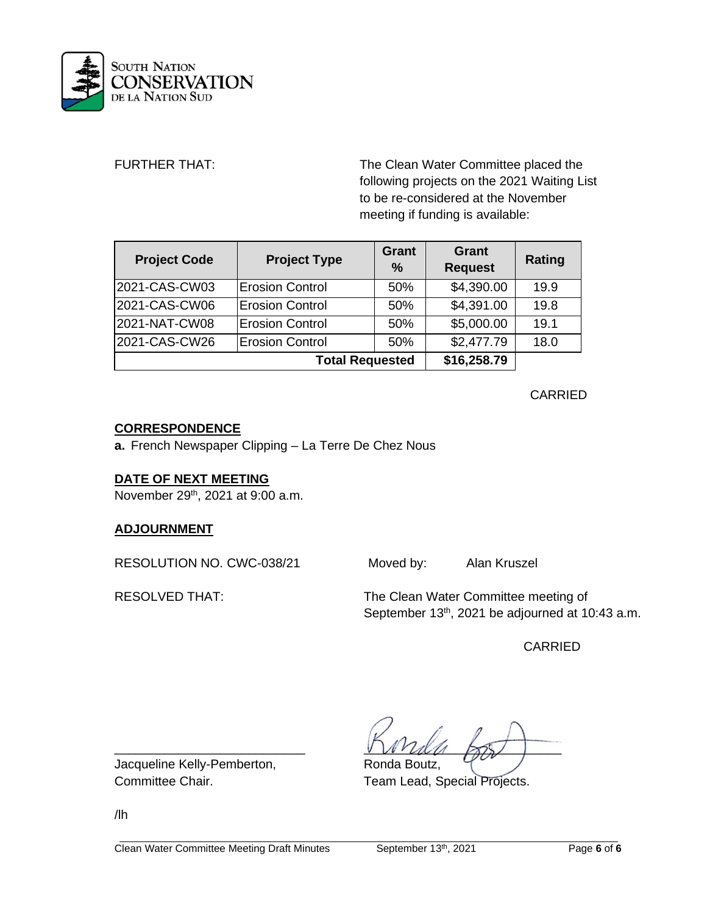

FURTHER THAT: The Clean Water Committee placed the following projects on the 2021 Waiting List to be re-considered at the November meeting if funding is available:

| <b>Project Code</b>    | <b>Project Type</b>    | <b>Grant</b><br>$\frac{0}{0}$ | Grant<br><b>Request</b> | Rating |
|------------------------|------------------------|-------------------------------|-------------------------|--------|
| 2021-CAS-CW03          | Erosion Control        | 50%                           | \$4,390.00              | 19.9   |
| 2021-CAS-CW06          | <b>Erosion Control</b> | 50%                           | \$4,391.00              | 19.8   |
| 2021-NAT-CW08          | <b>Erosion Control</b> | 50%                           | \$5,000.00              | 19.1   |
| 2021-CAS-CW26          | <b>Erosion Control</b> | 50%                           | \$2,477.79              | 18.0   |
| <b>Total Requested</b> |                        |                               | \$16,258.79             |        |

CARRIED

## **CORRESPONDENCE**

**a.** French Newspaper Clipping – La Terre De Chez Nous

## **DATE OF NEXT MEETING**

November 29<sup>th</sup>, 2021 at 9:00 a.m.

## **ADJOURNMENT**

RESOLUTION NO. CWC-038/21 Moved by: Alan Kruszel

RESOLVED THAT: The Clean Water Committee meeting of September 13<sup>th</sup>, 2021 be adjourned at 10:43 a.m.

CARRIED

 $\sqrt{V}$ 

Committee Chair. Team Lead, Special Projects.

Jacqueline Kelly-Pemberton, Ronda Boutz,

/lh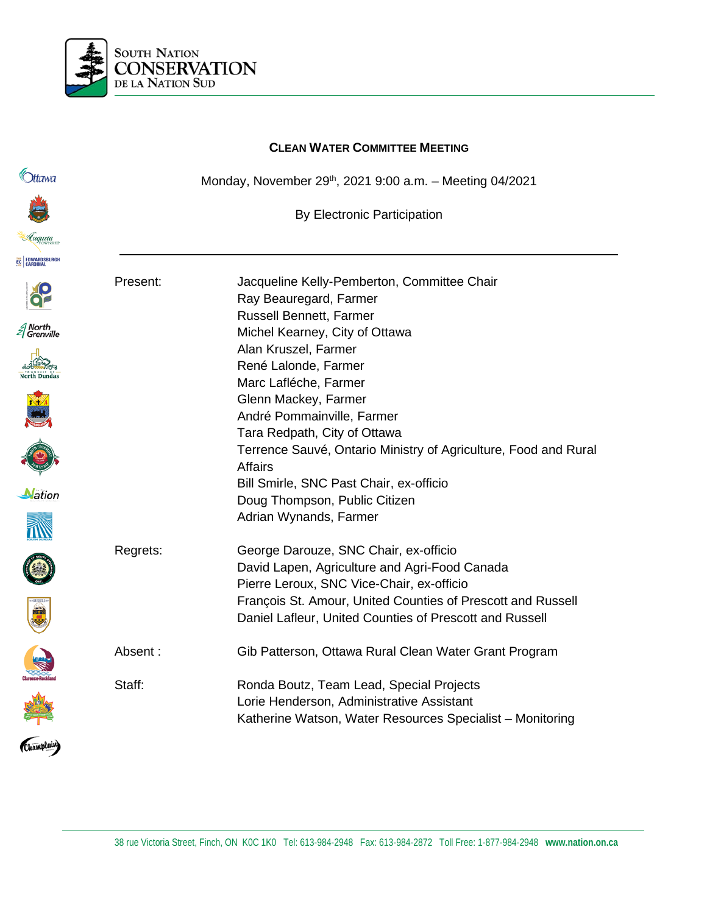

|                      | <b>CLEAN WATER COMMITTEE MEETING</b> |                                                                                   |  |
|----------------------|--------------------------------------|-----------------------------------------------------------------------------------|--|
| )ttawa               |                                      | Monday, November 29th, 2021 9:00 a.m. - Meeting 04/2021                           |  |
|                      |                                      | <b>By Electronic Participation</b>                                                |  |
| Luqusta              |                                      |                                                                                   |  |
| EC EDWARDSBURGH      |                                      |                                                                                   |  |
|                      | Present:                             | Jacqueline Kelly-Pemberton, Committee Chair<br>Ray Beauregard, Farmer             |  |
| North<br>  Grenville |                                      | Russell Bennett, Farmer                                                           |  |
|                      |                                      | Michel Kearney, City of Ottawa<br>Alan Kruszel, Farmer                            |  |
|                      |                                      | René Lalonde, Farmer                                                              |  |
|                      |                                      | Marc Lafléche, Farmer                                                             |  |
|                      |                                      | Glenn Mackey, Farmer                                                              |  |
|                      |                                      | André Pommainville, Farmer                                                        |  |
|                      |                                      | Tara Redpath, City of Ottawa                                                      |  |
|                      |                                      | Terrence Sauvé, Ontario Ministry of Agriculture, Food and Rural<br><b>Affairs</b> |  |
| <b>Nation</b>        |                                      | Bill Smirle, SNC Past Chair, ex-officio                                           |  |
|                      |                                      | Doug Thompson, Public Citizen                                                     |  |
|                      |                                      | Adrian Wynands, Farmer                                                            |  |
|                      | Regrets:                             | George Darouze, SNC Chair, ex-officio                                             |  |
|                      |                                      | David Lapen, Agriculture and Agri-Food Canada                                     |  |
|                      |                                      | Pierre Leroux, SNC Vice-Chair, ex-officio                                         |  |
| viji                 |                                      | François St. Amour, United Counties of Prescott and Russell                       |  |
|                      |                                      | Daniel Lafleur, United Counties of Prescott and Russell                           |  |
|                      | Absent:                              | Gib Patterson, Ottawa Rural Clean Water Grant Program                             |  |
|                      | Staff:                               | Ronda Boutz, Team Lead, Special Projects                                          |  |
|                      |                                      | Lorie Henderson, Administrative Assistant                                         |  |
|                      |                                      | Katherine Watson, Water Resources Specialist - Monitoring                         |  |
| Champlain)           |                                      |                                                                                   |  |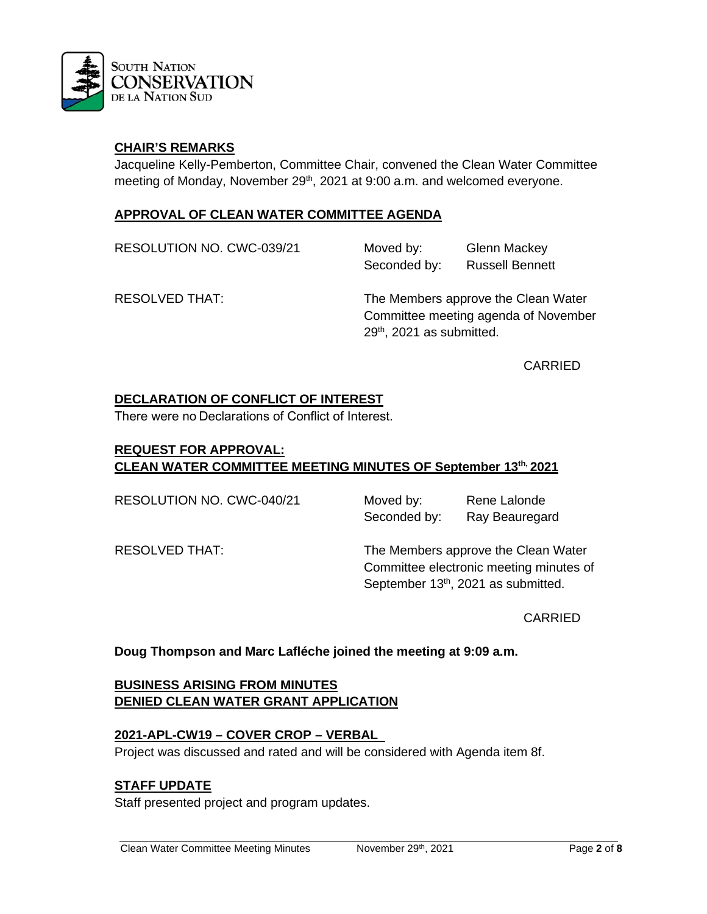

## **CHAIR'S REMARKS**

Jacqueline Kelly-Pemberton, Committee Chair, convened the Clean Water Committee meeting of Monday, November 29<sup>th</sup>, 2021 at 9:00 a.m. and welcomed everyone.

## **APPROVAL OF CLEAN WATER COMMITTEE AGENDA**

RESOLUTION NO. CWC-039/21 Moved by: Glenn Mackey Seconded by: Russell Bennett

RESOLVED THAT: The Members approve the Clean Water Committee meeting agenda of November 29th, 2021 as submitted.

CARRIED

## **DECLARATION OF CONFLICT OF INTEREST**

There were no Declarations of Conflict of Interest. 

## **REQUEST FOR APPROVAL: CLEAN WATER COMMITTEE MEETING MINUTES OF September 13th, 2021**

RESOLUTION NO. CWC-040/21 Moved by: Rene Lalonde

Seconded by: Ray Beauregard

RESOLVED THAT: The Members approve the Clean Water Committee electronic meeting minutes of September 13<sup>th</sup>, 2021 as submitted.

CARRIED

**Doug Thompson and Marc Lafléche joined the meeting at 9:09 a.m.**

## **BUSINESS ARISING FROM MINUTES DENIED CLEAN WATER GRANT APPLICATION**

### **2021-APL-CW19 – COVER CROP – VERBAL**

Project was discussed and rated and will be considered with Agenda item 8f.

## **STAFF UPDATE**

Staff presented project and program updates.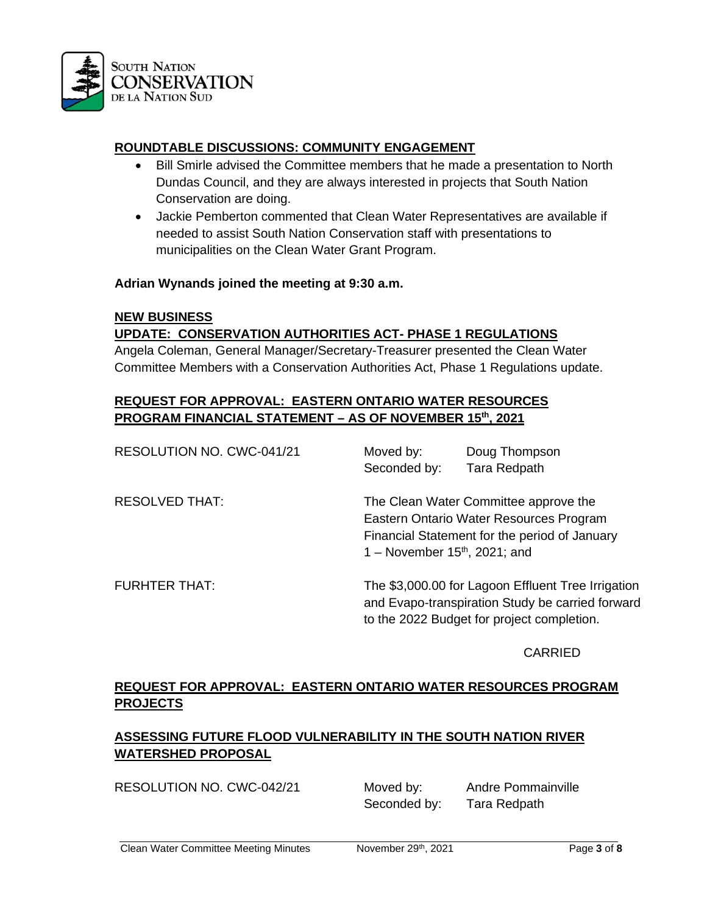

# **ROUNDTABLE DISCUSSIONS: COMMUNITY ENGAGEMENT**

- Bill Smirle advised the Committee members that he made a presentation to North Dundas Council, and they are always interested in projects that South Nation Conservation are doing.
- Jackie Pemberton commented that Clean Water Representatives are available if needed to assist South Nation Conservation staff with presentations to municipalities on the Clean Water Grant Program.

#### **Adrian Wynands joined the meeting at 9:30 a.m.**

#### **NEW BUSINESS**

## **UPDATE: CONSERVATION AUTHORITIES ACT- PHASE 1 REGULATIONS**

Angela Coleman, General Manager/Secretary-Treasurer presented the Clean Water Committee Members with a Conservation Authorities Act, Phase 1 Regulations update.

## **REQUEST FOR APPROVAL: EASTERN ONTARIO WATER RESOURCES PROGRAM FINANCIAL STATEMENT – AS OF NOVEMBER 15th, 2021**

| RESOLUTION NO. CWC-041/21 | Moved by:                       | Doug Thompson                                                                                                                                        |
|---------------------------|---------------------------------|------------------------------------------------------------------------------------------------------------------------------------------------------|
|                           | Seconded by:                    | Tara Redpath                                                                                                                                         |
| <b>RESOLVED THAT:</b>     | 1 – November $15th$ , 2021; and | The Clean Water Committee approve the<br>Eastern Ontario Water Resources Program<br>Financial Statement for the period of January                    |
| <b>FURHTER THAT:</b>      |                                 | The \$3,000.00 for Lagoon Effluent Tree Irrigation<br>and Evapo-transpiration Study be carried forward<br>to the 2022 Budget for project completion. |

### CARRIED

# **REQUEST FOR APPROVAL: EASTERN ONTARIO WATER RESOURCES PROGRAM PROJECTS**

# **ASSESSING FUTURE FLOOD VULNERABILITY IN THE SOUTH NATION RIVER WATERSHED PROPOSAL**

RESOLUTION NO. CWC-042/21 Moved by: Andre Pommainville

Seconded by: Tara Redpath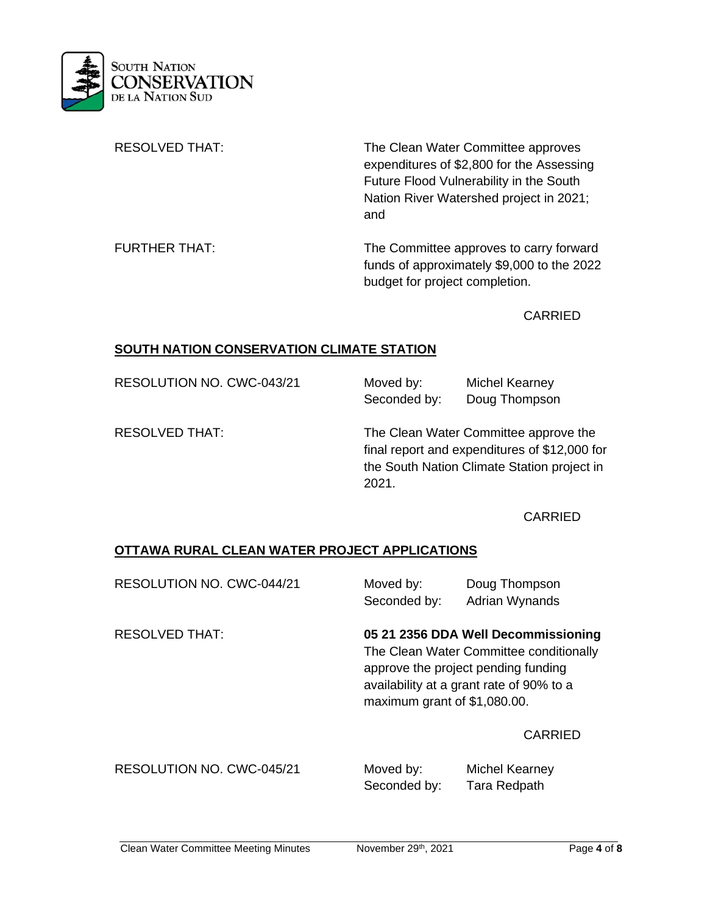

| <b>RESOLVED THAT:</b> | The Clean Water Committee approves<br>expenditures of \$2,800 for the Assessing<br>Future Flood Vulnerability in the South<br>Nation River Watershed project in 2021;<br>and |
|-----------------------|------------------------------------------------------------------------------------------------------------------------------------------------------------------------------|
| <b>FURTHER THAT:</b>  | The Committee approves to carry forward<br>funds of approximately \$9,000 to the 2022<br>budget for project completion.                                                      |

CARRIED

### **SOUTH NATION CONSERVATION CLIMATE STATION**

| RESOLUTION NO. CWC-043/21 |  |
|---------------------------|--|
|---------------------------|--|

Moved by: Michel Kearney Seconded by: Doug Thompson

RESOLVED THAT: The Clean Water Committee approve the final report and expenditures of \$12,000 for the South Nation Climate Station project in 2021.

## CARRIED

## **OTTAWA RURAL CLEAN WATER PROJECT APPLICATIONS**

| RESOLUTION NO. CWC-044/21 | Moved by:<br>Seconded by:                                                                                                                                                                         | Doug Thompson<br>Adrian Wynands |
|---------------------------|---------------------------------------------------------------------------------------------------------------------------------------------------------------------------------------------------|---------------------------------|
| <b>RESOLVED THAT:</b>     | 05 21 2356 DDA Well Decommissioning<br>The Clean Water Committee conditionally<br>approve the project pending funding<br>availability at a grant rate of 90% to a<br>maximum grant of \$1,080.00. |                                 |
|                           |                                                                                                                                                                                                   | <b>CARRIED</b>                  |
| RESOLUTION NO. CWC-045/21 | Moved by:                                                                                                                                                                                         | Michel Kearney                  |

Seconded by: Tara Redpath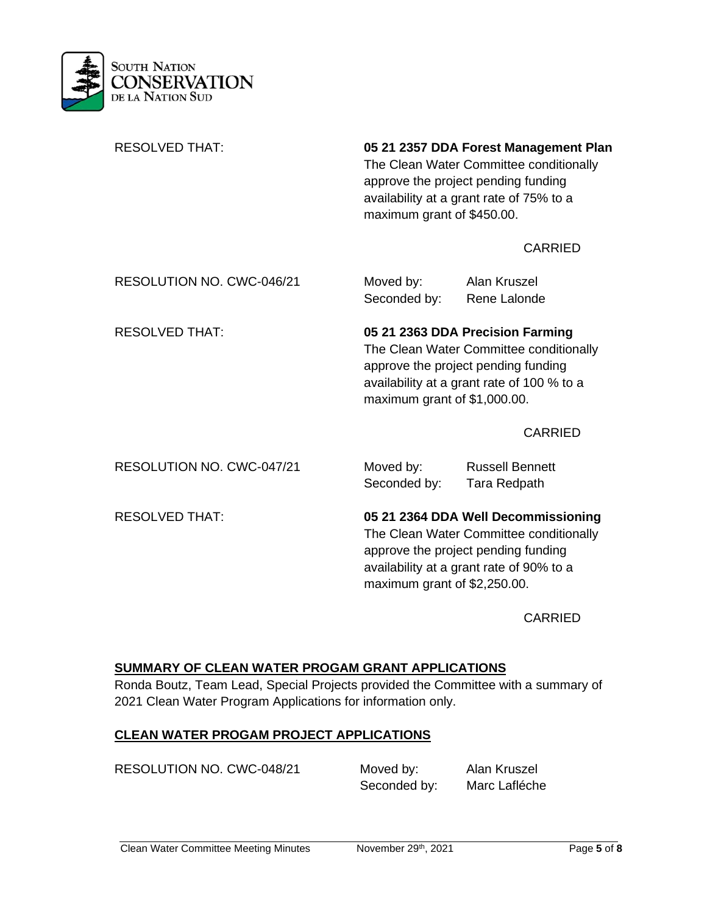

| <b>RESOLVED THAT:</b>     | 05 21 2357 DDA Forest Management Plan<br>The Clean Water Committee conditionally<br>approve the project pending funding<br>availability at a grant rate of 75% to a<br>maximum grant of \$450.00. |                                                                                                                                                                   |  |
|---------------------------|---------------------------------------------------------------------------------------------------------------------------------------------------------------------------------------------------|-------------------------------------------------------------------------------------------------------------------------------------------------------------------|--|
|                           |                                                                                                                                                                                                   | <b>CARRIED</b>                                                                                                                                                    |  |
| RESOLUTION NO. CWC-046/21 | Moved by:<br>Seconded by:                                                                                                                                                                         | Alan Kruszel<br>Rene Lalonde                                                                                                                                      |  |
| <b>RESOLVED THAT:</b>     | 05 21 2363 DDA Precision Farming<br>The Clean Water Committee conditionally<br>approve the project pending funding<br>availability at a grant rate of 100 % to a<br>maximum grant of \$1,000.00.  |                                                                                                                                                                   |  |
|                           |                                                                                                                                                                                                   | <b>CARRIED</b>                                                                                                                                                    |  |
| RESOLUTION NO. CWC-047/21 | Moved by:<br>Seconded by:                                                                                                                                                                         | <b>Russell Bennett</b><br>Tara Redpath                                                                                                                            |  |
| <b>RESOLVED THAT:</b>     |                                                                                                                                                                                                   | 05 21 2364 DDA Well Decommissioning<br>The Clean Water Committee conditionally<br>approve the project pending funding<br>availability at a grant rate of 90% to a |  |

CARRIED

## **SUMMARY OF CLEAN WATER PROGAM GRANT APPLICATIONS**

Ronda Boutz, Team Lead, Special Projects provided the Committee with a summary of 2021 Clean Water Program Applications for information only.

### **CLEAN WATER PROGAM PROJECT APPLICATIONS**

RESOLUTION NO. CWC-048/21 Moved by: Alan Kruszel

Seconded by: Marc Lafléche

maximum grant of \$2,250.00.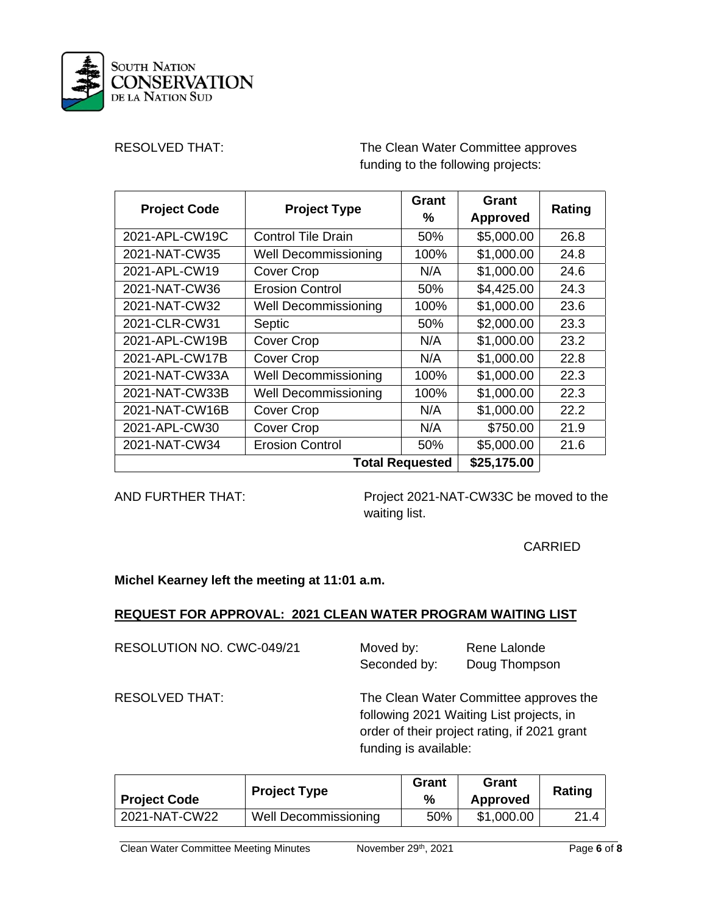

RESOLVED THAT: The Clean Water Committee approves funding to the following projects:

| <b>Project Code</b>    | <b>Project Type</b>         | Grant<br>% | Grant<br><b>Approved</b> | Rating |
|------------------------|-----------------------------|------------|--------------------------|--------|
| 2021-APL-CW19C         | <b>Control Tile Drain</b>   | 50%        | \$5,000.00               | 26.8   |
| 2021-NAT-CW35          | <b>Well Decommissioning</b> | 100%       | \$1,000.00               | 24.8   |
| 2021-APL-CW19          | Cover Crop                  | N/A        | \$1,000.00               | 24.6   |
| 2021-NAT-CW36          | <b>Erosion Control</b>      | 50%        | \$4,425.00               | 24.3   |
| 2021-NAT-CW32          | <b>Well Decommissioning</b> | 100%       | \$1,000.00               | 23.6   |
| 2021-CLR-CW31          | Septic                      | 50%        | \$2,000.00               | 23.3   |
| 2021-APL-CW19B         | <b>Cover Crop</b>           | N/A        | \$1,000.00               | 23.2   |
| 2021-APL-CW17B         | Cover Crop                  | N/A        | \$1,000.00               | 22.8   |
| 2021-NAT-CW33A         | Well Decommissioning        | 100%       | \$1,000.00               | 22.3   |
| 2021-NAT-CW33B         | <b>Well Decommissioning</b> | 100%       | \$1,000.00               | 22.3   |
| 2021-NAT-CW16B         | Cover Crop                  | N/A        | \$1,000.00               | 22.2   |
| 2021-APL-CW30          | Cover Crop                  | N/A        | \$750.00                 | 21.9   |
| 2021-NAT-CW34          | <b>Erosion Control</b>      | 50%        | \$5,000.00               | 21.6   |
| <b>Total Requested</b> |                             |            | \$25,175.00              |        |

AND FURTHER THAT: Project 2021-NAT-CW33C be moved to the waiting list.

CARRIED

**Michel Kearney left the meeting at 11:01 a.m.** 

## **REQUEST FOR APPROVAL: 2021 CLEAN WATER PROGRAM WAITING LIST**

RESOLUTION NO. CWC-049/21

| Moved by:    | Rene Lalonde  |
|--------------|---------------|
| Seconded by: | Doug Thompson |

RESOLVED THAT: The Clean Water Committee approves the following 2021 Waiting List projects, in order of their project rating, if 2021 grant funding is available:

| <b>Project Code</b> | <b>Project Type</b>  | Grant<br>% | Grant<br><b>Approved</b> | Rating |
|---------------------|----------------------|------------|--------------------------|--------|
| 2021-NAT-CW22       | Well Decommissioning | 50%        | \$1,000.00               |        |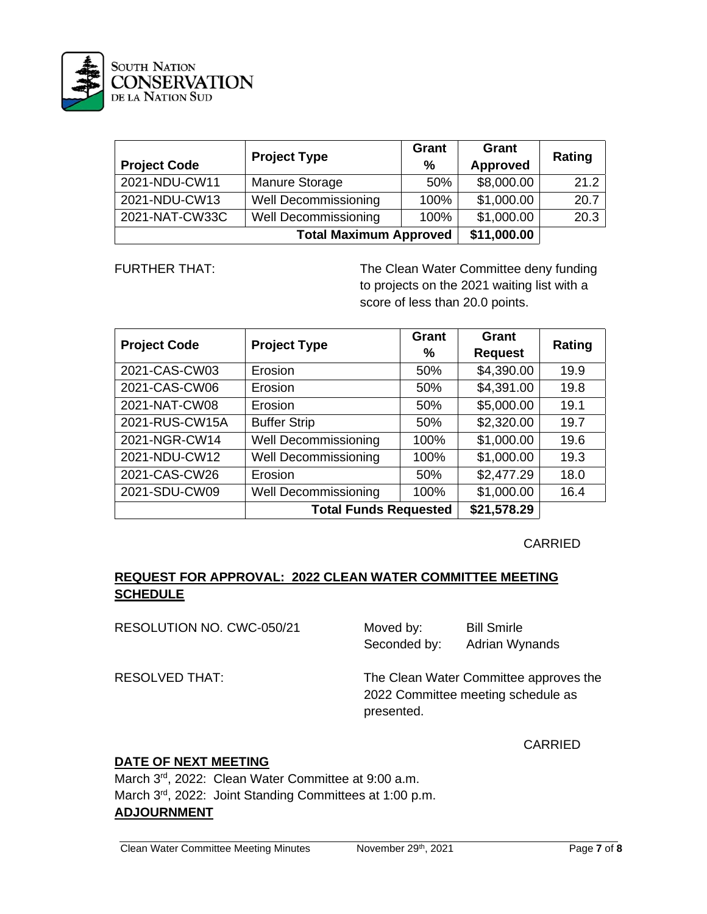

| <b>Project Code</b> | <b>Project Type</b>           | Grant<br>$\frac{9}{6}$ | Grant<br><b>Approved</b> | Rating |
|---------------------|-------------------------------|------------------------|--------------------------|--------|
| 2021-NDU-CW11       | <b>Manure Storage</b>         | 50%                    | \$8,000.00               | 21.2   |
| 2021-NDU-CW13       | <b>Well Decommissioning</b>   | 100%                   | \$1,000.00               | 20.7   |
| 2021-NAT-CW33C      | <b>Well Decommissioning</b>   | 100%                   | \$1,000.00               | 20.3   |
|                     | <b>Total Maximum Approved</b> |                        | \$11,000.00              |        |

FURTHER THAT: The Clean Water Committee deny funding to projects on the 2021 waiting list with a score of less than 20.0 points.

| <b>Project Code</b> | <b>Project Type</b>          | Grant<br>% | <b>Grant</b><br><b>Request</b> | Rating |
|---------------------|------------------------------|------------|--------------------------------|--------|
| 2021-CAS-CW03       | Erosion                      | 50%        | \$4,390.00                     | 19.9   |
| 2021-CAS-CW06       | Erosion                      | 50%        | \$4,391.00                     | 19.8   |
| 2021-NAT-CW08       | Erosion                      | 50%        | \$5,000.00                     | 19.1   |
| 2021-RUS-CW15A      | <b>Buffer Strip</b>          | 50%        | \$2,320.00                     | 19.7   |
| 2021-NGR-CW14       | <b>Well Decommissioning</b>  | 100%       | \$1,000.00                     | 19.6   |
| 2021-NDU-CW12       | <b>Well Decommissioning</b>  | 100%       | \$1,000.00                     | 19.3   |
| 2021-CAS-CW26       | Erosion                      | 50%        | \$2,477.29                     | 18.0   |
| 2021-SDU-CW09       | Well Decommissioning         | 100%       | \$1,000.00                     | 16.4   |
|                     | <b>Total Funds Requested</b> |            | \$21,578.29                    |        |

### CARRIED

## **REQUEST FOR APPROVAL: 2022 CLEAN WATER COMMITTEE MEETING SCHEDULE**

RESOLUTION NO. CWC-050/21 Moved by: Bill Smirle

Seconded by: Adrian Wynands

RESOLVED THAT: The Clean Water Committee approves the 2022 Committee meeting schedule as presented.

CARRIED

## **DATE OF NEXT MEETING**

March 3rd, 2022: Clean Water Committee at 9:00 a.m. March 3<sup>rd</sup>, 2022: Joint Standing Committees at 1:00 p.m. **ADJOURNMENT**